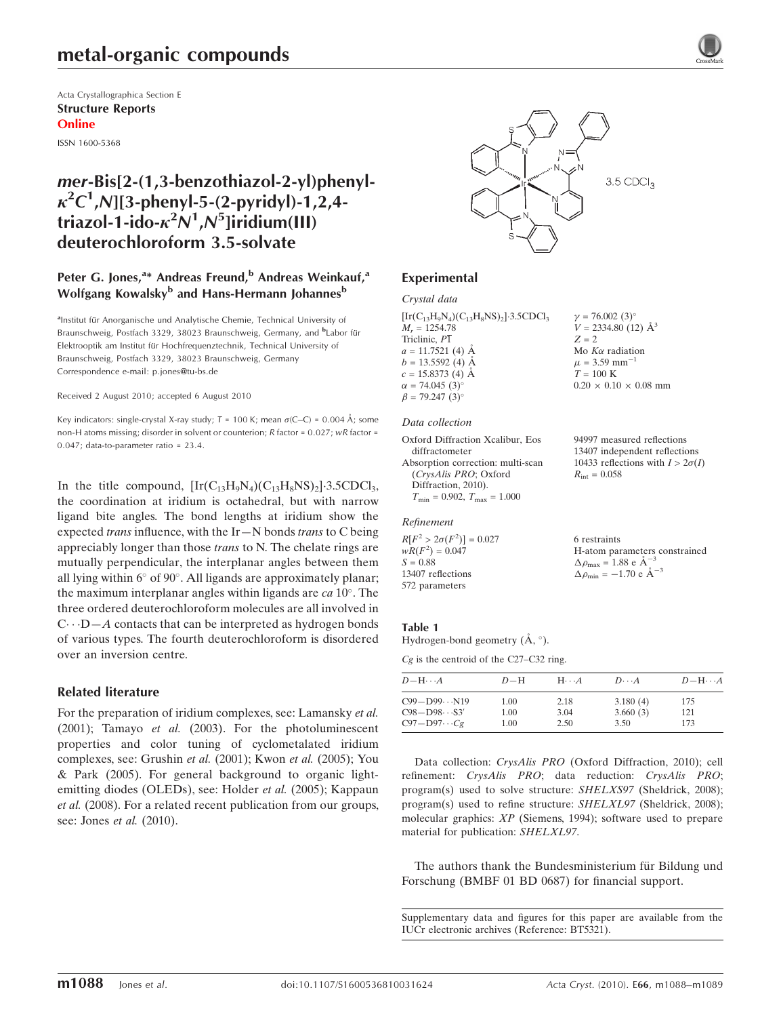# metal-organic compounds

Acta Crystallographica Section E Structure Reports Online

ISSN 1600-5368

## mer-Bis[2-(1,3-benzothiazol-2-yl)phenyl- $\kappa^2 C^1$ ,N][3-phenyl-5-(2-pyridyl)-1,2,4triazol-1-ido- $\kappa^2 N^1$ , $N^5$ ]iridium(III) deuterochloroform 3.5-solvate

### Peter G. Jones,<sup>a\*</sup> Andreas Freund,<sup>b</sup> Andreas Weinkauf,<sup>a</sup> Wolfgang Kowalsky<sup>b</sup> and Hans-Hermann Johannes<sup>b</sup>

alnstitut für Anorganische und Analytische Chemie, Technical University of Braunschweig, Postfach 3329, 38023 Braunschweig, Germany, and <sup>b</sup>Labor für Elektrooptik am Institut für Hochfrequenztechnik, Technical University of Braunschweig, Postfach 3329, 38023 Braunschweig, Germany Correspondence e-mail: p.jones@tu-bs.de

Received 2 August 2010; accepted 6 August 2010

Key indicators: single-crystal X-ray study;  $T = 100$  K; mean  $\sigma$ (C–C) = 0.004 Å; some non-H atoms missing; disorder in solvent or counterion; R factor = 0.027; wR factor = 0.047; data-to-parameter ratio = 23.4.

In the title compound,  $\left[\text{Ir}(C_{13}H_9N_4)(C_{13}H_8NS)_2\right] \cdot 3.5 \text{CDCl}_3$ , the coordination at iridium is octahedral, but with narrow ligand bite angles. The bond lengths at iridium show the expected *trans* influence, with the  $Ir-N$  bonds *trans* to  $C$  being appreciably longer than those trans to N. The chelate rings are mutually perpendicular, the interplanar angles between them all lying within  $6^{\circ}$  of  $90^{\circ}$ . All ligands are approximately planar; the maximum interplanar angles within ligands are  $ca 10^\circ$ . The three ordered deuterochloroform molecules are all involved in  $C \cdots D - A$  contacts that can be interpreted as hydrogen bonds of various types. The fourth deuterochloroform is disordered over an inversion centre.

### Related literature

For the preparation of iridium complexes, see: Lamansky et al. (2001); Tamayo et al. (2003). For the photoluminescent properties and color tuning of cyclometalated iridium complexes, see: Grushin et al. (2001); Kwon et al. (2005); You & Park (2005). For general background to organic lightemitting diodes (OLEDs), see: Holder et al. (2005); Kappaun et al. (2008). For a related recent publication from our groups, see: Jones et al. (2010).



 $v = 76.002(3)$  $V = 2334.80$  (12)  $\AA^3$ 

Mo  $K\alpha$  radiation  $\mu$  = 3.59 mm<sup>-1</sup>  $T = 100$  K

 $R_{\text{int}} = 0.058$ 

6 restraints

 $\Delta \rho_{\text{max}} = 1.88 \text{ e A}^{-3}$  $\Delta \rho_{\rm min} = -1.70 \text{ e } \text{\AA}^{-3}$ 

 $0.20 \times 0.10 \times 0.08$  mm

94997 measured reflections 13407 independent reflections 10433 reflections with  $I > 2\sigma(I)$ 

H-atom parameters constrained

 $Z = 2$ 

## Experimental

#### Crystal data

 $[\text{Ir}(C_{13}H_9N_4)(C_{13}H_8NS)_2]$ -3.5CDCl<sub>3</sub>  $M_r = 1254.78$ Triclinic,  $P\overline{1}$  $a = 11.7521$  (4)  $\AA$  $b = 13.5592(4)$  Å  $c = 15.8373(4)$  A  $\alpha = 74.045$  (3)<sup>o</sup>  $\beta = 79.247 \; (3)^{\circ}$ 

#### Data collection

Oxford Diffraction Xcalibur, Eos diffractometer Absorption correction: multi-scan (CrysAlis PRO; Oxford Diffraction, 2010).  $T_{\rm min}$  = 0.902,  $T_{\rm max}$  = 1.000

### Refinement

 $R[F^2 > 2\sigma(F^2)] = 0.027$  $wR(F^2) = 0.047$  $S = 0.88$ 13407 reflections 572 parameters

#### Table 1

Hydrogen-bond geometry  $(\mathring{A}, \degree)$ .

Cg is the centroid of the C27–C32 ring.

| $D - H \cdots A$       | $D-H$ | $H\cdots A$ | $D\cdots A$ | $D - H \cdots A$ |
|------------------------|-------|-------------|-------------|------------------|
| $C99 - D99N19$         | 1.00  | 2.18        | 3.180(4)    | 175              |
| $C98 - D98 \cdots S3'$ | 1.00  | 3.04        | 3.660(3)    | 121              |
| $C97 - D97 \cdots Cg$  | 1.00  | 2.50        | 3.50        | 173              |

Data collection: CrysAlis PRO (Oxford Diffraction, 2010); cell refinement: CrysAlis PRO; data reduction: CrysAlis PRO; program(s) used to solve structure: SHELXS97 (Sheldrick, 2008); program(s) used to refine structure: SHELXL97 (Sheldrick, 2008); molecular graphics: XP (Siemens, 1994); software used to prepare material for publication: SHELXL97.

The authors thank the Bundesministerium für Bildung und Forschung (BMBF 01 BD 0687) for financial support.

Supplementary data and figures for this paper are available from the IUCr electronic archives (Reference: BT5321).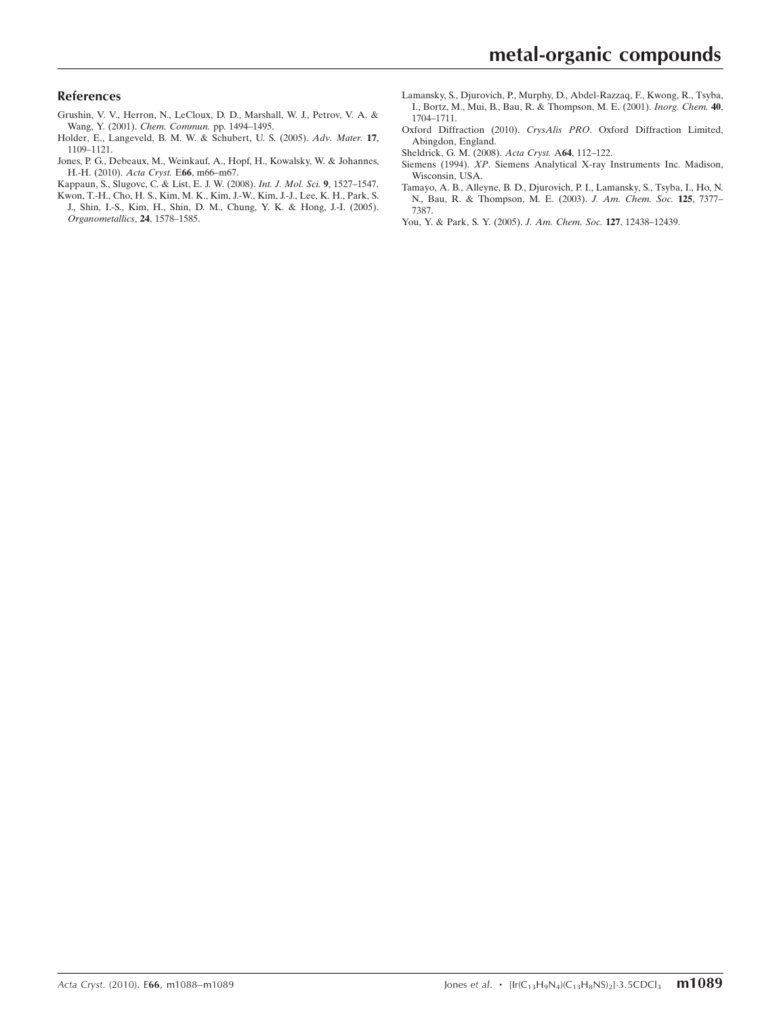### References

- [Grushin, V. V., Herron, N., LeCloux, D. D., Marshall, W. J., Petrov, V. A. &](https://scripts.iucr.org/cgi-bin/cr.cgi?rm=pdfbb&cnor=bt5321&bbid=BB1) Wang, Y. (2001). [Chem. Commun.](https://scripts.iucr.org/cgi-bin/cr.cgi?rm=pdfbb&cnor=bt5321&bbid=BB1) pp. 1494–1495.
- [Holder, E., Langeveld, B. M. W. & Schubert, U. S. \(2005\).](https://scripts.iucr.org/cgi-bin/cr.cgi?rm=pdfbb&cnor=bt5321&bbid=BB2) Adv. Mater. 17, [1109–1121.](https://scripts.iucr.org/cgi-bin/cr.cgi?rm=pdfbb&cnor=bt5321&bbid=BB2)
- [Jones, P. G., Debeaux, M., Weinkauf, A., Hopf, H., Kowalsky, W. & Johannes,](https://scripts.iucr.org/cgi-bin/cr.cgi?rm=pdfbb&cnor=bt5321&bbid=BB3) [H.-H. \(2010\).](https://scripts.iucr.org/cgi-bin/cr.cgi?rm=pdfbb&cnor=bt5321&bbid=BB3) Acta Cryst. E66, m66–m67.
- [Kappaun, S., Slugovc, C. & List, E. J. W. \(2008\).](https://scripts.iucr.org/cgi-bin/cr.cgi?rm=pdfbb&cnor=bt5321&bbid=BB4) Int. J. Mol. Sci. 9, 1527–1547.
- [Kwon, T.-H., Cho, H. S., Kim, M. K., Kim, J.-W., Kim, J.-J., Lee, K. H., Park, S.](https://scripts.iucr.org/cgi-bin/cr.cgi?rm=pdfbb&cnor=bt5321&bbid=BB5) [J., Shin, I.-S., Kim, H., Shin, D. M., Chung, Y. K. & Hong, J.-I. \(2005\).](https://scripts.iucr.org/cgi-bin/cr.cgi?rm=pdfbb&cnor=bt5321&bbid=BB5) [Organometallics](https://scripts.iucr.org/cgi-bin/cr.cgi?rm=pdfbb&cnor=bt5321&bbid=BB5), 24, 1578–1585.
- [Lamansky, S., Djurovich, P., Murphy, D., Abdel-Razzaq, F., Kwong, R., Tsyba,](https://scripts.iucr.org/cgi-bin/cr.cgi?rm=pdfbb&cnor=bt5321&bbid=BB6) [I., Bortz, M., Mui, B., Bau, R. & Thompson, M. E. \(2001\).](https://scripts.iucr.org/cgi-bin/cr.cgi?rm=pdfbb&cnor=bt5321&bbid=BB6) Inorg. Chem. 40, [1704–1711.](https://scripts.iucr.org/cgi-bin/cr.cgi?rm=pdfbb&cnor=bt5321&bbid=BB6)
- Oxford Diffraction (2010). CrysAlis PRO[. Oxford Diffraction Limited,](https://scripts.iucr.org/cgi-bin/cr.cgi?rm=pdfbb&cnor=bt5321&bbid=BB7) [Abingdon, England.](https://scripts.iucr.org/cgi-bin/cr.cgi?rm=pdfbb&cnor=bt5321&bbid=BB7)
- [Sheldrick, G. M. \(2008\).](https://scripts.iucr.org/cgi-bin/cr.cgi?rm=pdfbb&cnor=bt5321&bbid=BB8) Acta Cryst. A64, 112–122.
- Siemens (1994). XP[. Siemens Analytical X-ray Instruments Inc. Madison,](https://scripts.iucr.org/cgi-bin/cr.cgi?rm=pdfbb&cnor=bt5321&bbid=BB9) [Wisconsin, USA.](https://scripts.iucr.org/cgi-bin/cr.cgi?rm=pdfbb&cnor=bt5321&bbid=BB9)
- [Tamayo, A. B., Alleyne, B. D., Djurovich, P. I., Lamansky, S., Tsyba, I., Ho, N.](https://scripts.iucr.org/cgi-bin/cr.cgi?rm=pdfbb&cnor=bt5321&bbid=BB10) [N., Bau, R. & Thompson, M. E. \(2003\).](https://scripts.iucr.org/cgi-bin/cr.cgi?rm=pdfbb&cnor=bt5321&bbid=BB10) J. Am. Chem. Soc. 125, 7377– [7387.](https://scripts.iucr.org/cgi-bin/cr.cgi?rm=pdfbb&cnor=bt5321&bbid=BB10)
- [You, Y. & Park, S. Y. \(2005\).](https://scripts.iucr.org/cgi-bin/cr.cgi?rm=pdfbb&cnor=bt5321&bbid=BB11) J. Am. Chem. Soc. 127, 12438–12439.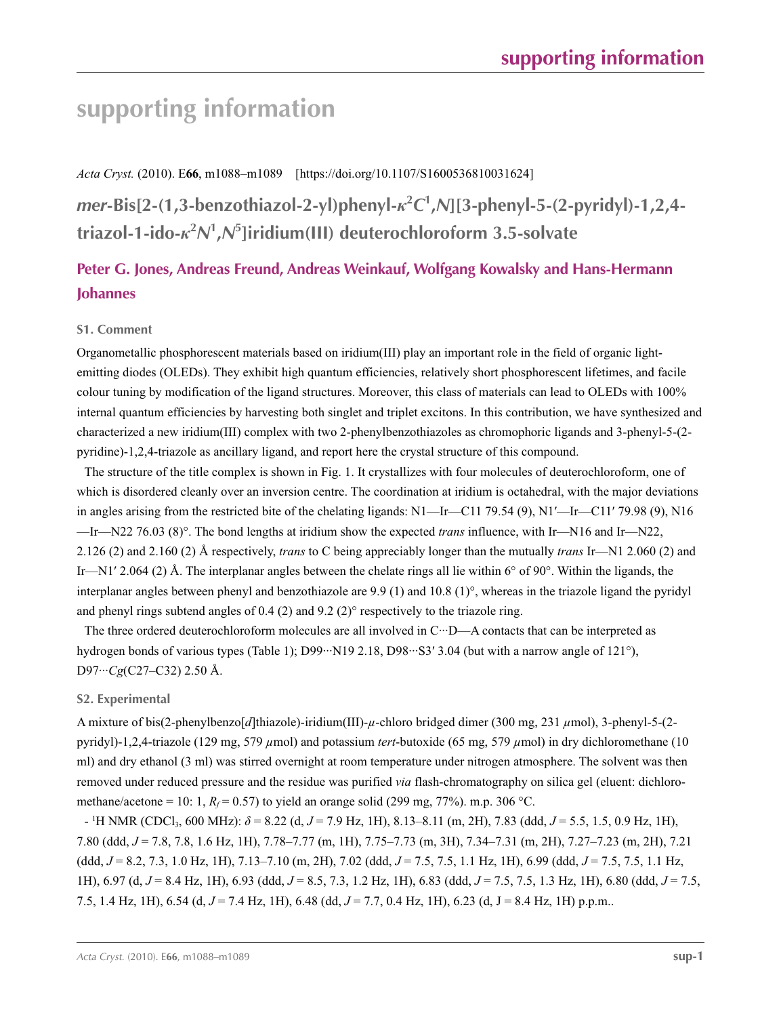# **supporting information**

*Acta Cryst.* (2010). E**66**, m1088–m1089 [https://doi.org/10.1107/S1600536810031624]

*mer***-Bis[2-(1,3-benzothiazol-2-yl)phenyl-***κ***<sup>2</sup>** *C***1 ,***N***][3-phenyl-5-(2-pyridyl)-1,2,4 triazol-1-ido-***κ***<sup>2</sup>** *N***1 ,***N***<sup>5</sup> ]iridium(III) deuterochloroform 3.5-solvate**

## **Peter G. Jones, Andreas Freund, Andreas Weinkauf, Wolfgang Kowalsky and Hans-Hermann Johannes**

### **S1. Comment**

Organometallic phosphorescent materials based on iridium(III) play an important role in the field of organic lightemitting diodes (OLEDs). They exhibit high quantum efficiencies, relatively short phosphorescent lifetimes, and facile colour tuning by modification of the ligand structures. Moreover, this class of materials can lead to OLEDs with 100% internal quantum efficiencies by harvesting both singlet and triplet excitons. In this contribution, we have synthesized and characterized a new iridium(III) complex with two 2-phenylbenzothiazoles as chromophoric ligands and 3-phenyl-5-(2 pyridine)-1,2,4-triazole as ancillary ligand, and report here the crystal structure of this compound.

The structure of the title complex is shown in Fig. 1. It crystallizes with four molecules of deuterochloroform, one of which is disordered cleanly over an inversion centre. The coordination at iridium is octahedral, with the major deviations in angles arising from the restricted bite of the chelating ligands: N1—Ir—C11 79.54 (9), N1′—Ir—C11′ 79.98 (9), N16 —Ir—N22 76.03 (8)°. The bond lengths at iridium show the expected *trans* influence, with Ir—N16 and Ir—N22, 2.126 (2) and 2.160 (2) Å respectively, *trans* to C being appreciably longer than the mutually *trans* Ir—N1 2.060 (2) and Ir—N1′ 2.064 (2) Å. The interplanar angles between the chelate rings all lie within 6° of 90°. Within the ligands, the interplanar angles between phenyl and benzothiazole are 9.9 (1) and 10.8 (1)°, whereas in the triazole ligand the pyridyl and phenyl rings subtend angles of 0.4 (2) and 9.2 (2)° respectively to the triazole ring.

The three ordered deuterochloroform molecules are all involved in C···D—A contacts that can be interpreted as hydrogen bonds of various types (Table 1); D99···N19 2.18, D98···S3' 3.04 (but with a narrow angle of 121°), D97···*Cg*(C27–C32) 2.50 Å.

### **S2. Experimental**

A mixture of bis(2-phenylbenzo[*d*]thiazole)-iridium(III)-*µ*-chloro bridged dimer (300 mg, 231 *µ*mol), 3-phenyl-5-(2 pyridyl)-1,2,4-triazole (129 mg, 579 *µ*mol) and potassium *tert*-butoxide (65 mg, 579 *µ*mol) in dry dichloromethane (10 ml) and dry ethanol (3 ml) was stirred overnight at room temperature under nitrogen atmosphere. The solvent was then removed under reduced pressure and the residue was purified *via* flash-chromatography on silica gel (eluent: dichloromethane/acetone = 10: 1,  $R_f$  = 0.57) to yield an orange solid (299 mg, 77%). m.p. 306 °C.

- 1 H NMR (CDCl3, 600 MHz): *δ* = 8.22 (d, *J* = 7.9 Hz, 1H), 8.13–8.11 (m, 2H), 7.83 (ddd, *J* = 5.5, 1.5, 0.9 Hz, 1H), 7.80 (ddd, *J* = 7.8, 7.8, 1.6 Hz, 1H), 7.78–7.77 (m, 1H), 7.75–7.73 (m, 3H), 7.34–7.31 (m, 2H), 7.27–7.23 (m, 2H), 7.21 (ddd, *J* = 8.2, 7.3, 1.0 Hz, 1H), 7.13–7.10 (m, 2H), 7.02 (ddd, *J* = 7.5, 7.5, 1.1 Hz, 1H), 6.99 (ddd, *J* = 7.5, 7.5, 1.1 Hz, 1H), 6.97 (d, *J* = 8.4 Hz, 1H), 6.93 (ddd, *J* = 8.5, 7.3, 1.2 Hz, 1H), 6.83 (ddd, *J* = 7.5, 7.5, 1.3 Hz, 1H), 6.80 (ddd, *J* = 7.5, 7.5, 1.4 Hz, 1H), 6.54 (d, *J* = 7.4 Hz, 1H), 6.48 (dd, *J* = 7.7, 0.4 Hz, 1H), 6.23 (d, J = 8.4 Hz, 1H) p.p.m..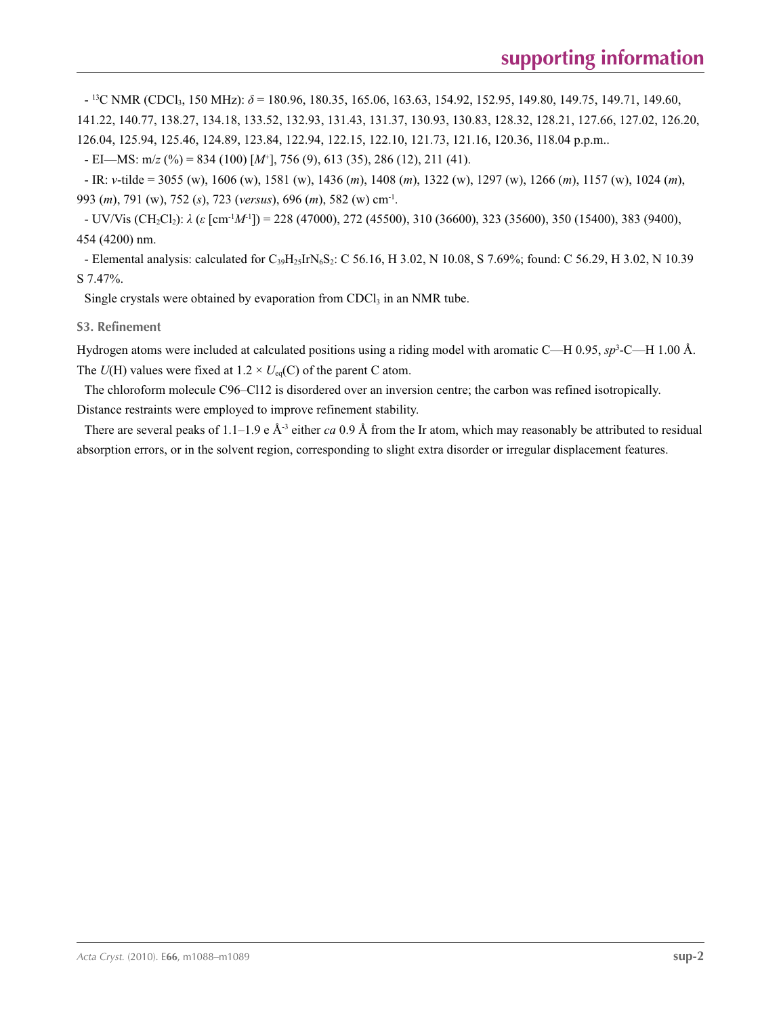- 13C NMR (CDCl3, 150 MHz): *δ* = 180.96, 180.35, 165.06, 163.63, 154.92, 152.95, 149.80, 149.75, 149.71, 149.60, 141.22, 140.77, 138.27, 134.18, 133.52, 132.93, 131.43, 131.37, 130.93, 130.83, 128.32, 128.21, 127.66, 127.02, 126.20, 126.04, 125.94, 125.46, 124.89, 123.84, 122.94, 122.15, 122.10, 121.73, 121.16, 120.36, 118.04 p.p.m..

 $-EI$ —MS: m/*z* (%) = 834 (100) [M<sup>+</sup>], 756 (9), 613 (35), 286 (12), 211 (41).

- IR: *ν*-tilde = 3055 (w), 1606 (w), 1581 (w), 1436 (*m*), 1408 (*m*), 1322 (w), 1297 (w), 1266 (*m*), 1157 (w), 1024 (*m*), 993 (*m*), 791 (w), 752 (*s*), 723 (*versus*), 696 (*m*), 582 (w) cm-1.

- UV/Vis (CH2Cl2): *λ* (*ε* [cm-1*M*-1]) = 228 (47000), 272 (45500), 310 (36600), 323 (35600), 350 (15400), 383 (9400), 454 (4200) nm.

- Elemental analysis: calculated for  $C_{39}H_{25}IrN_6S_2$ : C 56.16, H 3.02, N 10.08, S 7.69%; found: C 56.29, H 3.02, N 10.39 S 7.47%.

Single crystals were obtained by evaporation from  $CDCl<sub>3</sub>$  in an NMR tube.

**S3. Refinement** 

Hydrogen atoms were included at calculated positions using a riding model with aromatic C—H 0.95,  $sp^3$ -C—H 1.00 Å. The  $U(H)$  values were fixed at  $1.2 \times U_{eq}(C)$  of the parent C atom.

The chloroform molecule C96–Cl12 is disordered over an inversion centre; the carbon was refined isotropically. Distance restraints were employed to improve refinement stability.

There are several peaks of 1.1–1.9 e Å-3 either *ca* 0.9 Å from the Ir atom, which may reasonably be attributed to residual absorption errors, or in the solvent region, corresponding to slight extra disorder or irregular displacement features.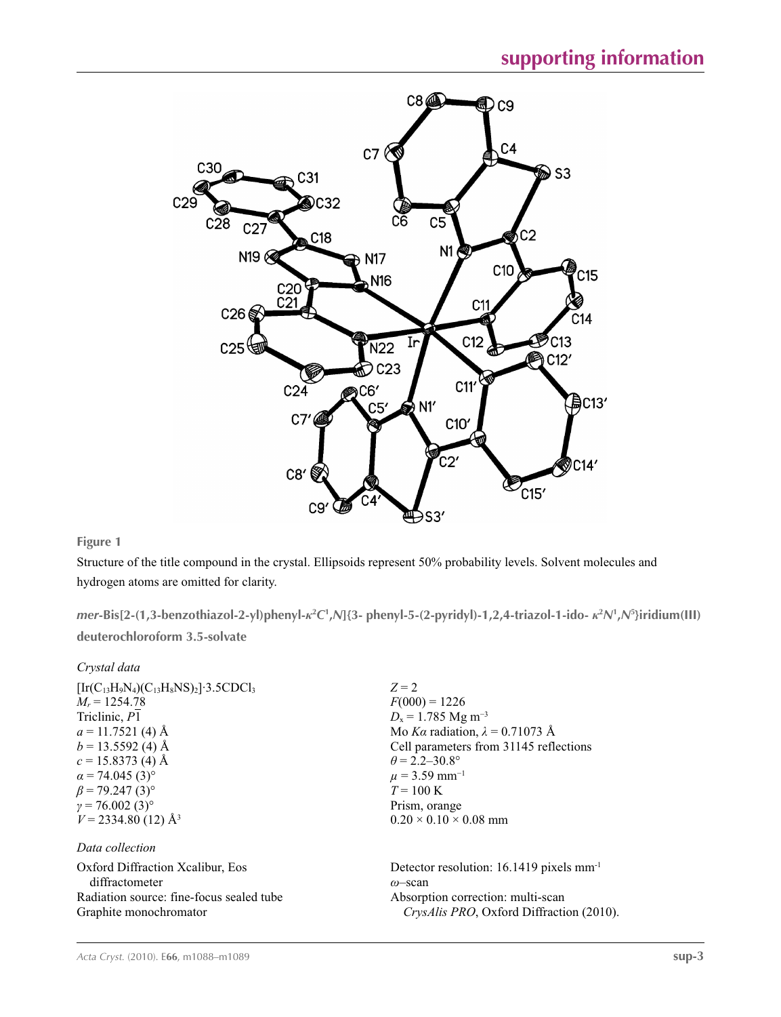

**Figure 1**

Structure of the title compound in the crystal. Ellipsoids represent 50% probability levels. Solvent molecules and hydrogen atoms are omitted for clarity.

mer-Bis[2-(1,3-benzothiazol-2-yl)phenyl- $\kappa^2C^1$ ,N]{3- phenyl-5-(2-pyridyl)-1,2,4-triazol-1-ido- $\kappa^2N^1$ ,N<sup>5</sup>}iridium(III) **deuterochloroform 3.5-solvate** 

| Crystal data                                                                                                                                                                                                                                                                                                     |                                                                                                                                                                                                                                                                                          |
|------------------------------------------------------------------------------------------------------------------------------------------------------------------------------------------------------------------------------------------------------------------------------------------------------------------|------------------------------------------------------------------------------------------------------------------------------------------------------------------------------------------------------------------------------------------------------------------------------------------|
| $[Ir(C_{13}H_9N_4)(C_{13}H_8NS)_2]$ 3.5CDCl <sub>3</sub><br>$M_r = 1254.78$<br>Triclinic, P1<br>$a = 11.7521$ (4) Å<br>$b = 13.5592$ (4) Å<br>$c = 15.8373(4)$ Å<br>$\alpha$ = 74.045 (3) <sup>o</sup><br>$\beta$ = 79.247 (3) <sup>o</sup><br>$\gamma = 76.002(3)^{\circ}$<br>$V = 2334.80$ (12) Å <sup>3</sup> | $Z = 2$<br>$F(000) = 1226$<br>$D_x = 1.785$ Mg m <sup>-3</sup><br>Mo Ka radiation, $\lambda = 0.71073$ Å<br>Cell parameters from 31145 reflections<br>$\theta$ = 2.2–30.8°<br>$\mu$ = 3.59 mm <sup>-1</sup><br>$T = 100 \text{ K}$<br>Prism, orange<br>$0.20 \times 0.10 \times 0.08$ mm |
| Data collection                                                                                                                                                                                                                                                                                                  |                                                                                                                                                                                                                                                                                          |
| Oxford Diffraction Xcalibur, Eos<br>diffractometer<br>Radiation source: fine-focus sealed tube                                                                                                                                                                                                                   | Detector resolution: $16.1419$ pixels mm <sup>-1</sup><br>$\omega$ -scan<br>Absorption correction: multi-scan                                                                                                                                                                            |
| Graphite monochromator                                                                                                                                                                                                                                                                                           | <i>CrysAlis PRO</i> , Oxford Diffraction (2010).                                                                                                                                                                                                                                         |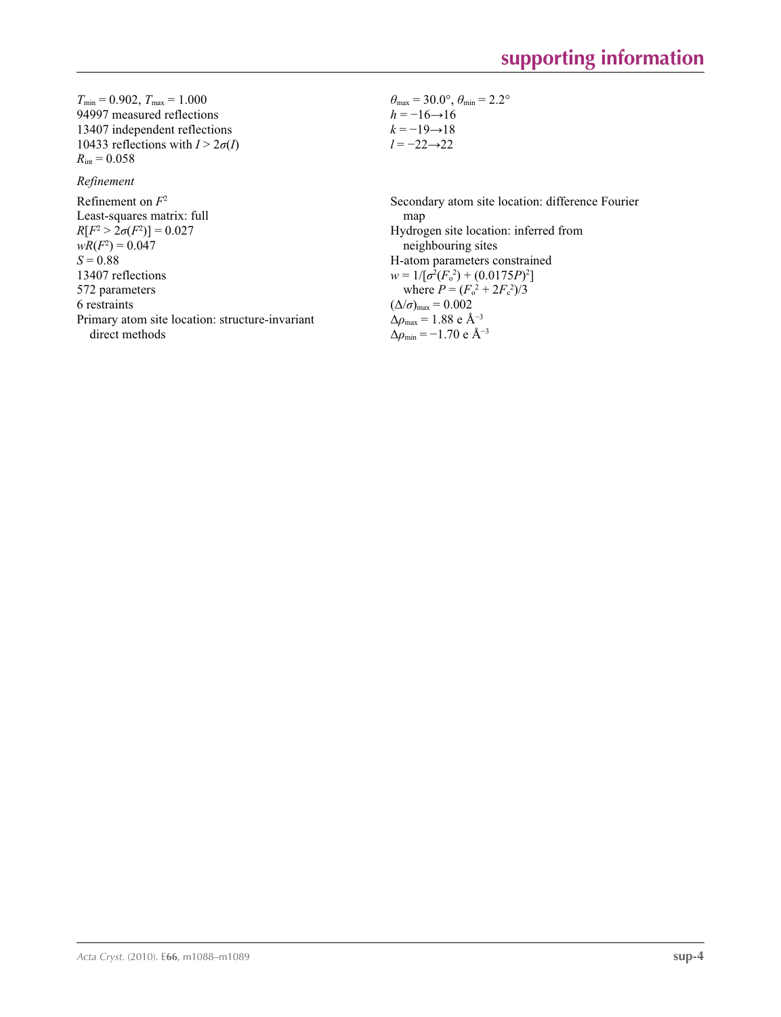$T_{\text{min}} = 0.902, T_{\text{max}} = 1.000$ 94997 measured reflections 13407 independent reflections 10433 reflections with  $I > 2\sigma(I)$  $R_{\text{int}} = 0.058$ 

### *Refinement*

Refinement on *F*<sup>2</sup> Least-squares matrix: full  $R[F^2 > 2\sigma(F^2)] = 0.027$  $wR(F^2) = 0.047$  $S = 0.88$ 13407 reflections 572 parameters 6 restraints Primary atom site location: structure-invariant direct methods

 $\theta_{\text{max}} = 30.0^{\circ}, \theta_{\text{min}} = 2.2^{\circ}$  $h = -16 \rightarrow 16$  $k = -19 \rightarrow 18$ *l* = −22→22

Secondary atom site location: difference Fourier map Hydrogen site location: inferred from neighbouring sites H-atom parameters constrained  $w = 1/[\sigma^2 (F_o^2) + (0.0175P)^2]$ where  $P = (F_o^2 + 2F_c^2)/3$  $(\Delta/\sigma)_{\text{max}} = 0.002$ Δ*ρ*max = 1.88 e Å−3  $\Delta \rho_{\text{min}} = -1.70 \text{ e } \text{\AA}^{-3}$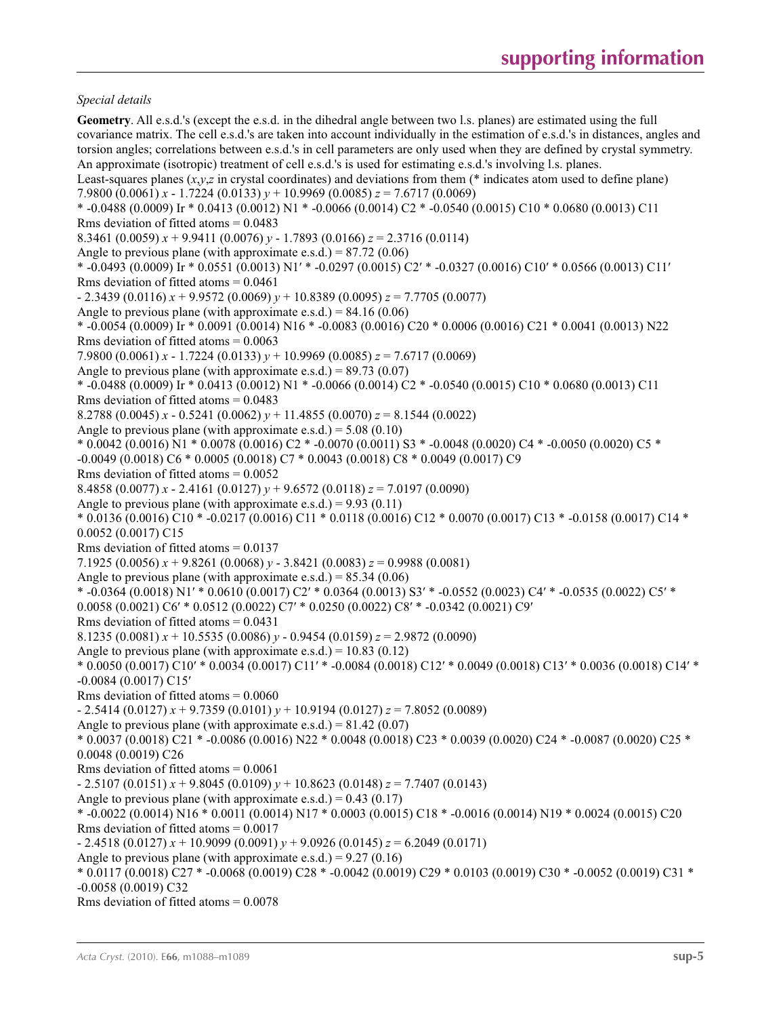### *Special details*

**Geometry**. All e.s.d.'s (except the e.s.d. in the dihedral angle between two l.s. planes) are estimated using the full covariance matrix. The cell e.s.d.'s are taken into account individually in the estimation of e.s.d.'s in distances, angles and torsion angles; correlations between e.s.d.'s in cell parameters are only used when they are defined by crystal symmetry. An approximate (isotropic) treatment of cell e.s.d.'s is used for estimating e.s.d.'s involving l.s. planes. Least-squares planes  $(x, y, z)$  in crystal coordinates) and deviations from them (\* indicates atom used to define plane) 7.9800 (0.0061) *x* - 1.7224 (0.0133) *y* + 10.9969 (0.0085) *z* = 7.6717 (0.0069)  $*$  -0.0488 (0.0009) Ir  $*$  0.0413 (0.0012) N1  $*$  -0.0066 (0.0014) C2  $*$  -0.0540 (0.0015) C10  $*$  0.0680 (0.0013) C11 Rms deviation of fitted atoms = 0.0483 8.3461 (0.0059)  $x + 9.9411$  (0.0076)  $y - 1.7893$  (0.0166)  $z = 2.3716$  (0.0114) Angle to previous plane (with approximate e.s.d.) =  $87.72$  (0.06) \* -0.0493 (0.0009) Ir \* 0.0551 (0.0013) N1′ \* -0.0297 (0.0015) C2′ \* -0.0327 (0.0016) C10′ \* 0.0566 (0.0013) C11′ Rms deviation of fitted atoms  $= 0.0461$ - 2.3439 (0.0116) *x* + 9.9572 (0.0069) *y* + 10.8389 (0.0095) *z* = 7.7705 (0.0077) Angle to previous plane (with approximate e.s.d.) =  $84.16(0.06)$ \* -0.0054 (0.0009) Ir \* 0.0091 (0.0014) N16 \* -0.0083 (0.0016) C20 \* 0.0006 (0.0016) C21 \* 0.0041 (0.0013) N22 Rms deviation of fitted atoms  $= 0.0063$ 7.9800 (0.0061) *x* - 1.7224 (0.0133) *y* + 10.9969 (0.0085) *z* = 7.6717 (0.0069) Angle to previous plane (with approximate e.s.d.) =  $89.73$  (0.07) \* -0.0488 (0.0009) Ir \* 0.0413 (0.0012) N1 \* -0.0066 (0.0014) C2 \* -0.0540 (0.0015) C10 \* 0.0680 (0.0013) C11 Rms deviation of fitted atoms  $= 0.0483$ 8.2788 (0.0045) *x* - 0.5241 (0.0062) *y* + 11.4855 (0.0070) *z* = 8.1544 (0.0022) Angle to previous plane (with approximate e.s.d.) =  $5.08(0.10)$  $*$  0.0042 (0.0016) N1  $*$  0.0078 (0.0016) C2  $*$  -0.0070 (0.0011) S3  $*$  -0.0048 (0.0020) C4  $*$  -0.0050 (0.0020) C5  $*$ -0.0049 (0.0018) C6 \* 0.0005 (0.0018) C7 \* 0.0043 (0.0018) C8 \* 0.0049 (0.0017) C9 Rms deviation of fitted atoms  $= 0.0052$ 8.4858 (0.0077) *x* - 2.4161 (0.0127) *y* + 9.6572 (0.0118) *z* = 7.0197 (0.0090) Angle to previous plane (with approximate e.s.d.) =  $9.93(0.11)$ \* 0.0136 (0.0016) C10 \* -0.0217 (0.0016) C11 \* 0.0118 (0.0016) C12 \* 0.0070 (0.0017) C13 \* -0.0158 (0.0017) C14 \* 0.0052 (0.0017) C15 Rms deviation of fitted atoms = 0.0137 7.1925 (0.0056)  $x + 9.8261$  (0.0068)  $y - 3.8421$  (0.0083)  $z = 0.9988$  (0.0081) Angle to previous plane (with approximate e.s.d.) =  $85.34(0.06)$ \* -0.0364 (0.0018) N1′ \* 0.0610 (0.0017) C2′ \* 0.0364 (0.0013) S3′ \* -0.0552 (0.0023) C4′ \* -0.0535 (0.0022) C5′ \* 0.0058 (0.0021) C6′ \* 0.0512 (0.0022) C7′ \* 0.0250 (0.0022) C8′ \* -0.0342 (0.0021) C9′ Rms deviation of fitted atoms  $= 0.0431$ 8.1235 (0.0081)  $x + 10.5535$  (0.0086)  $y - 0.9454$  (0.0159)  $z = 2.9872$  (0.0090) Angle to previous plane (with approximate e.s.d.) =  $10.83$  (0.12) \* 0.0050 (0.0017) C10′ \* 0.0034 (0.0017) C11′ \* -0.0084 (0.0018) C12′ \* 0.0049 (0.0018) C13′ \* 0.0036 (0.0018) C14′ \* -0.0084 (0.0017) C15′ Rms deviation of fitted atoms  $= 0.0060$ - 2.5414 (0.0127) *x* + 9.7359 (0.0101) *y* + 10.9194 (0.0127) *z* = 7.8052 (0.0089) Angle to previous plane (with approximate e.s.d.) =  $81.42$  (0.07) \* 0.0037 (0.0018) C21 \* -0.0086 (0.0016) N22 \* 0.0048 (0.0018) C23 \* 0.0039 (0.0020) C24 \* -0.0087 (0.0020) C25 \* 0.0048 (0.0019) C26 Rms deviation of fitted atoms  $= 0.0061$ - 2.5107 (0.0151) *x* + 9.8045 (0.0109) *y* + 10.8623 (0.0148) *z* = 7.7407 (0.0143) Angle to previous plane (with approximate e.s.d.) =  $0.43$  (0.17) \* -0.0022 (0.0014) N16 \* 0.0011 (0.0014) N17 \* 0.0003 (0.0015) C18 \* -0.0016 (0.0014) N19 \* 0.0024 (0.0015) C20 Rms deviation of fitted atoms  $= 0.0017$  $-2.4518(0.0127) x + 10.9099(0.0091) y + 9.0926(0.0145) z = 6.2049(0.0171)$ Angle to previous plane (with approximate e.s.d.) =  $9.27(0.16)$ \* 0.0117 (0.0018) C27 \* -0.0068 (0.0019) C28 \* -0.0042 (0.0019) C29 \* 0.0103 (0.0019) C30 \* -0.0052 (0.0019) C31 \* -0.0058 (0.0019) C32 Rms deviation of fitted atoms  $= 0.0078$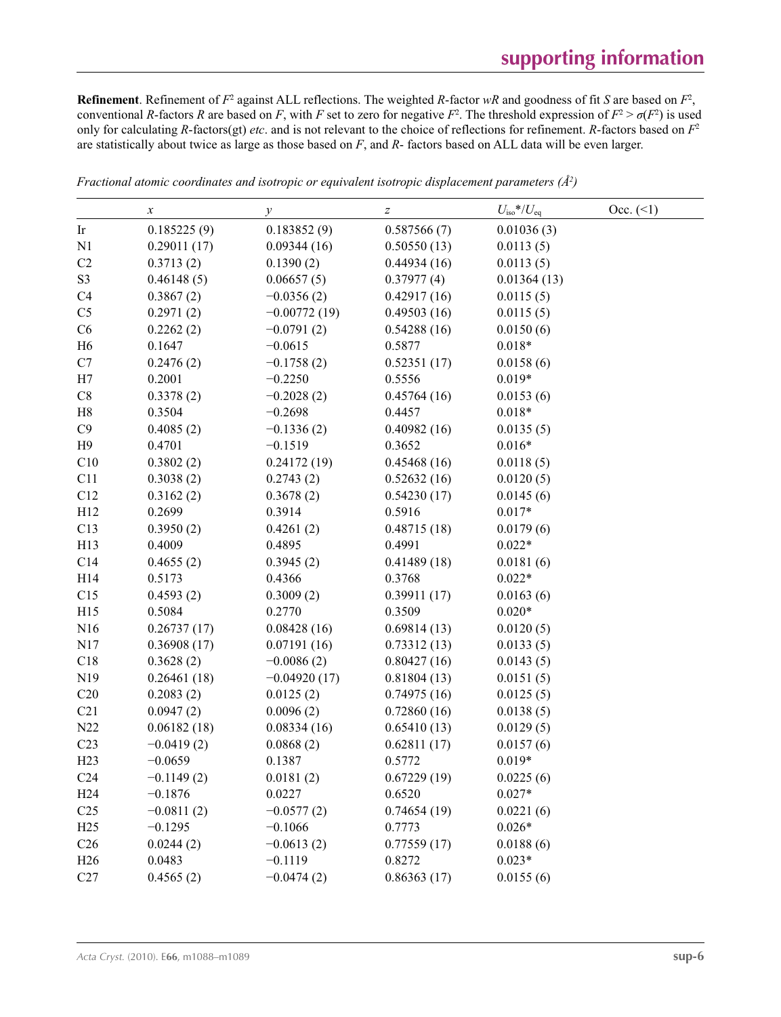**Refinement**. Refinement of  $F^2$  against ALL reflections. The weighted *R*-factor  $wR$  and goodness of fit *S* are based on  $F^2$ , conventional *R*-factors *R* are based on *F*, with *F* set to zero for negative  $F^2$ . The threshold expression of  $F^2 > \sigma(F^2)$  is used only for calculating *R*-factors(gt) *etc*. and is not relevant to the choice of reflections for refinement. *R*-factors based on *F*<sup>2</sup> are statistically about twice as large as those based on *F*, and *R*- factors based on ALL data will be even larger.

|                 | $\boldsymbol{\chi}$ | у              | $\boldsymbol{Z}$ | $U_{\rm iso}$ */ $U_{\rm eq}$ | Occ. (2) |
|-----------------|---------------------|----------------|------------------|-------------------------------|----------|
| Ir              | 0.185225(9)         | 0.183852(9)    | 0.587566(7)      | 0.01036(3)                    |          |
| N1              | 0.29011(17)         | 0.09344(16)    | 0.50550(13)      | 0.0113(5)                     |          |
| C <sub>2</sub>  | 0.3713(2)           | 0.1390(2)      | 0.44934(16)      | 0.0113(5)                     |          |
| S <sub>3</sub>  | 0.46148(5)          | 0.06657(5)     | 0.37977(4)       | 0.01364(13)                   |          |
| C <sub>4</sub>  | 0.3867(2)           | $-0.0356(2)$   | 0.42917(16)      | 0.0115(5)                     |          |
| C <sub>5</sub>  | 0.2971(2)           | $-0.00772(19)$ | 0.49503(16)      | 0.0115(5)                     |          |
| C6              | 0.2262(2)           | $-0.0791(2)$   | 0.54288(16)      | 0.0150(6)                     |          |
| H <sub>6</sub>  | 0.1647              | $-0.0615$      | 0.5877           | $0.018*$                      |          |
| C7              | 0.2476(2)           | $-0.1758(2)$   | 0.52351(17)      | 0.0158(6)                     |          |
| H7              | 0.2001              | $-0.2250$      | 0.5556           | $0.019*$                      |          |
| C8              | 0.3378(2)           | $-0.2028(2)$   | 0.45764(16)      | 0.0153(6)                     |          |
| H8              | 0.3504              | $-0.2698$      | 0.4457           | $0.018*$                      |          |
| C9              | 0.4085(2)           | $-0.1336(2)$   | 0.40982(16)      | 0.0135(5)                     |          |
| H <sub>9</sub>  | 0.4701              | $-0.1519$      | 0.3652           | $0.016*$                      |          |
| C10             | 0.3802(2)           | 0.24172(19)    | 0.45468(16)      | 0.0118(5)                     |          |
| C11             | 0.3038(2)           | 0.2743(2)      | 0.52632(16)      | 0.0120(5)                     |          |
| C12             | 0.3162(2)           | 0.3678(2)      | 0.54230(17)      | 0.0145(6)                     |          |
| H12             | 0.2699              | 0.3914         | 0.5916           | $0.017*$                      |          |
| C13             | 0.3950(2)           | 0.4261(2)      | 0.48715(18)      | 0.0179(6)                     |          |
| H13             | 0.4009              | 0.4895         | 0.4991           | $0.022*$                      |          |
| C14             | 0.4655(2)           | 0.3945(2)      | 0.41489(18)      | 0.0181(6)                     |          |
| H14             | 0.5173              | 0.4366         | 0.3768           | $0.022*$                      |          |
| C15             | 0.4593(2)           | 0.3009(2)      | 0.39911(17)      | 0.0163(6)                     |          |
| H15             | 0.5084              | 0.2770         | 0.3509           | $0.020*$                      |          |
| N16             | 0.26737(17)         | 0.08428(16)    | 0.69814(13)      | 0.0120(5)                     |          |
| N17             | 0.36908(17)         | 0.07191(16)    | 0.73312(13)      | 0.0133(5)                     |          |
| C18             | 0.3628(2)           | $-0.0086(2)$   | 0.80427(16)      | 0.0143(5)                     |          |
| N <sub>19</sub> | 0.26461(18)         | $-0.04920(17)$ | 0.81804(13)      | 0.0151(5)                     |          |
| C20             | 0.2083(2)           | 0.0125(2)      | 0.74975(16)      | 0.0125(5)                     |          |
| C21             | 0.0947(2)           | 0.0096(2)      | 0.72860(16)      | 0.0138(5)                     |          |
| N22             | 0.06182(18)         | 0.08334(16)    | 0.65410(13)      | 0.0129(5)                     |          |
| C <sub>23</sub> | $-0.0419(2)$        | 0.0868(2)      | 0.62811(17)      | 0.0157(6)                     |          |
| H23             | $-0.0659$           | 0.1387         | 0.5772           | $0.019*$                      |          |
| C <sub>24</sub> | $-0.1149(2)$        | 0.0181(2)      | 0.67229(19)      | 0.0225(6)                     |          |
| H <sub>24</sub> | $-0.1876$           | 0.0227         | 0.6520           | $0.027*$                      |          |
| C <sub>25</sub> | $-0.0811(2)$        | $-0.0577(2)$   | 0.74654(19)      | 0.0221(6)                     |          |
| H25             | $-0.1295$           | $-0.1066$      | 0.7773           | $0.026*$                      |          |
| C <sub>26</sub> | 0.0244(2)           | $-0.0613(2)$   | 0.77559(17)      | 0.0188(6)                     |          |
| H <sub>26</sub> | 0.0483              | $-0.1119$      | 0.8272           | $0.023*$                      |          |
| C27             | 0.4565(2)           | $-0.0474(2)$   | 0.86363(17)      | 0.0155(6)                     |          |

*Fractional atomic coordinates and isotropic or equivalent isotropic displacement parameters (Å<sup>2</sup>)*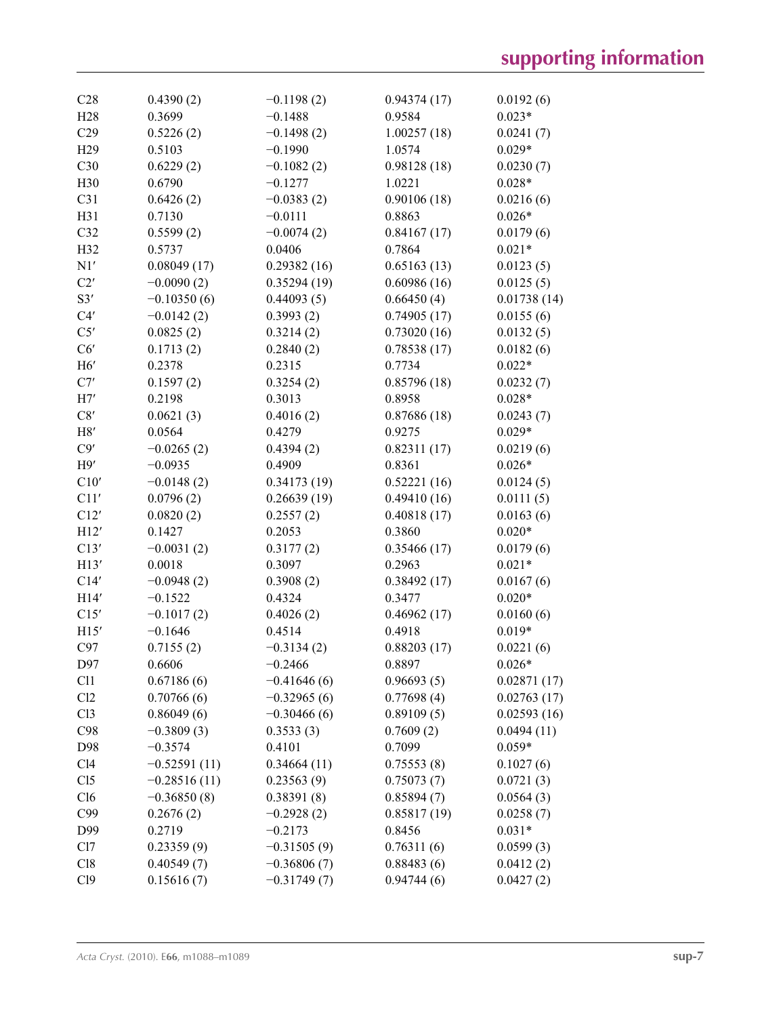| C28             | 0.4390(2)      | $-0.1198(2)$  | 0.94374(17) | 0.0192(6)   |
|-----------------|----------------|---------------|-------------|-------------|
| H <sub>28</sub> | 0.3699         | $-0.1488$     | 0.9584      | $0.023*$    |
| C29             | 0.5226(2)      | $-0.1498(2)$  | 1.00257(18) | 0.0241(7)   |
| H <sub>29</sub> | 0.5103         | $-0.1990$     | 1.0574      | $0.029*$    |
| C30             | 0.6229(2)      | $-0.1082(2)$  | 0.98128(18) | 0.0230(7)   |
| H <sub>30</sub> | 0.6790         | $-0.1277$     | 1.0221      | $0.028*$    |
| C31             | 0.6426(2)      | $-0.0383(2)$  | 0.90106(18) | 0.0216(6)   |
| H31             | 0.7130         | $-0.0111$     | 0.8863      | $0.026*$    |
| C32             | 0.5599(2)      | $-0.0074(2)$  | 0.84167(17) | 0.0179(6)   |
| H <sub>32</sub> | 0.5737         | 0.0406        | 0.7864      | $0.021*$    |
| N1'             | 0.08049(17)    | 0.29382(16)   | 0.65163(13) | 0.0123(5)   |
| C2'             | $-0.0090(2)$   | 0.35294(19)   | 0.60986(16) | 0.0125(5)   |
| S3'             | $-0.10350(6)$  | 0.44093(5)    | 0.66450(4)  | 0.01738(14) |
| C4'             | $-0.0142(2)$   | 0.3993(2)     | 0.74905(17) | 0.0155(6)   |
| C5'             | 0.0825(2)      | 0.3214(2)     | 0.73020(16) | 0.0132(5)   |
| C6'             | 0.1713(2)      | 0.2840(2)     | 0.78538(17) | 0.0182(6)   |
| H6'             | 0.2378         | 0.2315        | 0.7734      | $0.022*$    |
| C7'             | 0.1597(2)      | 0.3254(2)     | 0.85796(18) | 0.0232(7)   |
| H7'             | 0.2198         | 0.3013        | 0.8958      | $0.028*$    |
| C8'             | 0.0621(3)      | 0.4016(2)     | 0.87686(18) | 0.0243(7)   |
| H8'             | 0.0564         | 0.4279        | 0.9275      | $0.029*$    |
| C9'             | $-0.0265(2)$   | 0.4394(2)     | 0.82311(17) | 0.0219(6)   |
| H9'             | $-0.0935$      | 0.4909        | 0.8361      | $0.026*$    |
| C10'            | $-0.0148(2)$   | 0.34173(19)   | 0.52221(16) | 0.0124(5)   |
| C11'            | 0.0796(2)      | 0.26639(19)   | 0.49410(16) | 0.0111(5)   |
| C12'            | 0.0820(2)      | 0.2557(2)     | 0.40818(17) | 0.0163(6)   |
| H12'            | 0.1427         | 0.2053        | 0.3860      | $0.020*$    |
| C13'            | $-0.0031(2)$   | 0.3177(2)     | 0.35466(17) | 0.0179(6)   |
| H13'            | 0.0018         | 0.3097        | 0.2963      | $0.021*$    |
| C14'            | $-0.0948(2)$   | 0.3908(2)     | 0.38492(17) | 0.0167(6)   |
| H14'            | $-0.1522$      | 0.4324        | 0.3477      | $0.020*$    |
| C15'            | $-0.1017(2)$   | 0.4026(2)     | 0.46962(17) | 0.0160(6)   |
| H15'            | $-0.1646$      | 0.4514        | 0.4918      | $0.019*$    |
| C97             | 0.7155(2)      | $-0.3134(2)$  | 0.88203(17) | 0.0221(6)   |
| D97             | 0.6606         | $-0.2466$     | 0.8897      | $0.026*$    |
| C11             | 0.67186(6)     | $-0.41646(6)$ | 0.96693(5)  | 0.02871(17) |
| Cl2             | 0.70766(6)     | $-0.32965(6)$ | 0.77698(4)  | 0.02763(17) |
| Cl3             | 0.86049(6)     | $-0.30466(6)$ | 0.89109(5)  | 0.02593(16) |
| C98             | $-0.3809(3)$   | 0.3533(3)     | 0.7609(2)   | 0.0494(11)  |
| D98             | $-0.3574$      | 0.4101        | 0.7099      | $0.059*$    |
| C14             | $-0.52591(11)$ | 0.34664(11)   | 0.75553(8)  | 0.1027(6)   |
| Cl <sub>5</sub> | $-0.28516(11)$ | 0.23563(9)    | 0.75073(7)  | 0.0721(3)   |
| C16             | $-0.36850(8)$  | 0.38391(8)    | 0.85894(7)  | 0.0564(3)   |
| C99             | 0.2676(2)      | $-0.2928(2)$  | 0.85817(19) | 0.0258(7)   |
| D99             | 0.2719         | $-0.2173$     | 0.8456      | $0.031*$    |
| Cl7             | 0.23359(9)     | $-0.31505(9)$ | 0.76311(6)  | 0.0599(3)   |
| C18             | 0.40549(7)     | $-0.36806(7)$ | 0.88483(6)  | 0.0412(2)   |
| C19             | 0.15616(7)     | $-0.31749(7)$ | 0.94744(6)  | 0.0427(2)   |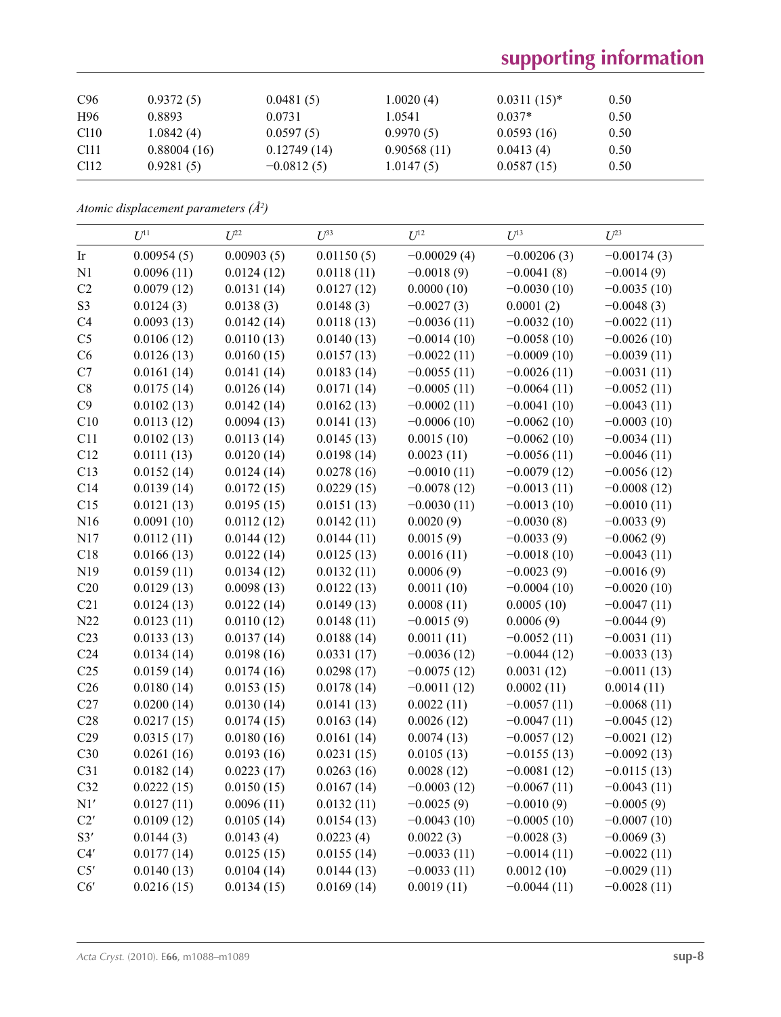# **supporting information**

| C <sub>96</sub>  | 0.9372(5)   | 0.0481(5)    | 1.0020(4)   | $0.0311(15)^*$ | 0.50 |
|------------------|-------------|--------------|-------------|----------------|------|
| H96              | 0.8893      | 0.0731       | 1.0541      | $0.037*$       | 0.50 |
| C110             | 1.0842(4)   | 0.0597(5)    | 0.9970(5)   | 0.0593(16)     | 0.50 |
| C <sub>111</sub> | 0.88004(16) | 0.12749(14)  | 0.90568(11) | 0.0413(4)      | 0.50 |
| C <sub>112</sub> | 0.9281(5)   | $-0.0812(5)$ | 1.0147(5)   | 0.0587(15)     | 0.50 |

*Atomic displacement parameters (Å2 )*

|                 | $U^{11}$   | $U^{22}$   | $U^{33}$   | $U^{12}$      | $U^{13}$      | $U^{23}$      |
|-----------------|------------|------------|------------|---------------|---------------|---------------|
| Ir              | 0.00954(5) | 0.00903(5) | 0.01150(5) | $-0.00029(4)$ | $-0.00206(3)$ | $-0.00174(3)$ |
| N1              | 0.0096(11) | 0.0124(12) | 0.0118(11) | $-0.0018(9)$  | $-0.0041(8)$  | $-0.0014(9)$  |
| C2              | 0.0079(12) | 0.0131(14) | 0.0127(12) | 0.0000(10)    | $-0.0030(10)$ | $-0.0035(10)$ |
| S <sub>3</sub>  | 0.0124(3)  | 0.0138(3)  | 0.0148(3)  | $-0.0027(3)$  | 0.0001(2)     | $-0.0048(3)$  |
| C4              | 0.0093(13) | 0.0142(14) | 0.0118(13) | $-0.0036(11)$ | $-0.0032(10)$ | $-0.0022(11)$ |
| C <sub>5</sub>  | 0.0106(12) | 0.0110(13) | 0.0140(13) | $-0.0014(10)$ | $-0.0058(10)$ | $-0.0026(10)$ |
| C6              | 0.0126(13) | 0.0160(15) | 0.0157(13) | $-0.0022(11)$ | $-0.0009(10)$ | $-0.0039(11)$ |
| C7              | 0.0161(14) | 0.0141(14) | 0.0183(14) | $-0.0055(11)$ | $-0.0026(11)$ | $-0.0031(11)$ |
| $\rm{C}8$       | 0.0175(14) | 0.0126(14) | 0.0171(14) | $-0.0005(11)$ | $-0.0064(11)$ | $-0.0052(11)$ |
| C9              | 0.0102(13) | 0.0142(14) | 0.0162(13) | $-0.0002(11)$ | $-0.0041(10)$ | $-0.0043(11)$ |
| C10             | 0.0113(12) | 0.0094(13) | 0.0141(13) | $-0.0006(10)$ | $-0.0062(10)$ | $-0.0003(10)$ |
| C11             | 0.0102(13) | 0.0113(14) | 0.0145(13) | 0.0015(10)    | $-0.0062(10)$ | $-0.0034(11)$ |
| C12             | 0.0111(13) | 0.0120(14) | 0.0198(14) | 0.0023(11)    | $-0.0056(11)$ | $-0.0046(11)$ |
| C13             | 0.0152(14) | 0.0124(14) | 0.0278(16) | $-0.0010(11)$ | $-0.0079(12)$ | $-0.0056(12)$ |
| C14             | 0.0139(14) | 0.0172(15) | 0.0229(15) | $-0.0078(12)$ | $-0.0013(11)$ | $-0.0008(12)$ |
| C15             | 0.0121(13) | 0.0195(15) | 0.0151(13) | $-0.0030(11)$ | $-0.0013(10)$ | $-0.0010(11)$ |
| N16             | 0.0091(10) | 0.0112(12) | 0.0142(11) | 0.0020(9)     | $-0.0030(8)$  | $-0.0033(9)$  |
| N17             | 0.0112(11) | 0.0144(12) | 0.0144(11) | 0.0015(9)     | $-0.0033(9)$  | $-0.0062(9)$  |
| C18             | 0.0166(13) | 0.0122(14) | 0.0125(13) | 0.0016(11)    | $-0.0018(10)$ | $-0.0043(11)$ |
| N19             | 0.0159(11) | 0.0134(12) | 0.0132(11) | 0.0006(9)     | $-0.0023(9)$  | $-0.0016(9)$  |
| C20             | 0.0129(13) | 0.0098(13) | 0.0122(13) | 0.0011(10)    | $-0.0004(10)$ | $-0.0020(10)$ |
| C21             | 0.0124(13) | 0.0122(14) | 0.0149(13) | 0.0008(11)    | 0.0005(10)    | $-0.0047(11)$ |
| N22             | 0.0123(11) | 0.0110(12) | 0.0148(11) | $-0.0015(9)$  | 0.0006(9)     | $-0.0044(9)$  |
| C <sub>23</sub> | 0.0133(13) | 0.0137(14) | 0.0188(14) | 0.0011(11)    | $-0.0052(11)$ | $-0.0031(11)$ |
| C <sub>24</sub> | 0.0134(14) | 0.0198(16) | 0.0331(17) | $-0.0036(12)$ | $-0.0044(12)$ | $-0.0033(13)$ |
| C <sub>25</sub> | 0.0159(14) | 0.0174(16) | 0.0298(17) | $-0.0075(12)$ | 0.0031(12)    | $-0.0011(13)$ |
| C <sub>26</sub> | 0.0180(14) | 0.0153(15) | 0.0178(14) | $-0.0011(12)$ | 0.0002(11)    | 0.0014(11)    |
| C27             | 0.0200(14) | 0.0130(14) | 0.0141(13) | 0.0022(11)    | $-0.0057(11)$ | $-0.0068(11)$ |
| C28             | 0.0217(15) | 0.0174(15) | 0.0163(14) | 0.0026(12)    | $-0.0047(11)$ | $-0.0045(12)$ |
| C29             | 0.0315(17) | 0.0180(16) | 0.0161(14) | 0.0074(13)    | $-0.0057(12)$ | $-0.0021(12)$ |
| C30             | 0.0261(16) | 0.0193(16) | 0.0231(15) | 0.0105(13)    | $-0.0155(13)$ | $-0.0092(13)$ |
| C31             | 0.0182(14) | 0.0223(17) | 0.0263(16) | 0.0028(12)    | $-0.0081(12)$ | $-0.0115(13)$ |
| C32             | 0.0222(15) | 0.0150(15) | 0.0167(14) | $-0.0003(12)$ | $-0.0067(11)$ | $-0.0043(11)$ |
| N1'             | 0.0127(11) | 0.0096(11) | 0.0132(11) | $-0.0025(9)$  | $-0.0010(9)$  | $-0.0005(9)$  |
| C2'             | 0.0109(12) | 0.0105(14) | 0.0154(13) | $-0.0043(10)$ | $-0.0005(10)$ | $-0.0007(10)$ |
| S3'             | 0.0144(3)  | 0.0143(4)  | 0.0223(4)  | 0.0022(3)     | $-0.0028(3)$  | $-0.0069(3)$  |
| C4'             | 0.0177(14) | 0.0125(15) | 0.0155(14) | $-0.0033(11)$ | $-0.0014(11)$ | $-0.0022(11)$ |
| C5'             | 0.0140(13) | 0.0104(14) | 0.0144(13) | $-0.0033(11)$ | 0.0012(10)    | $-0.0029(11)$ |
| C6'             | 0.0216(15) | 0.0134(15) | 0.0169(14) | 0.0019(11)    | $-0.0044(11)$ | $-0.0028(11)$ |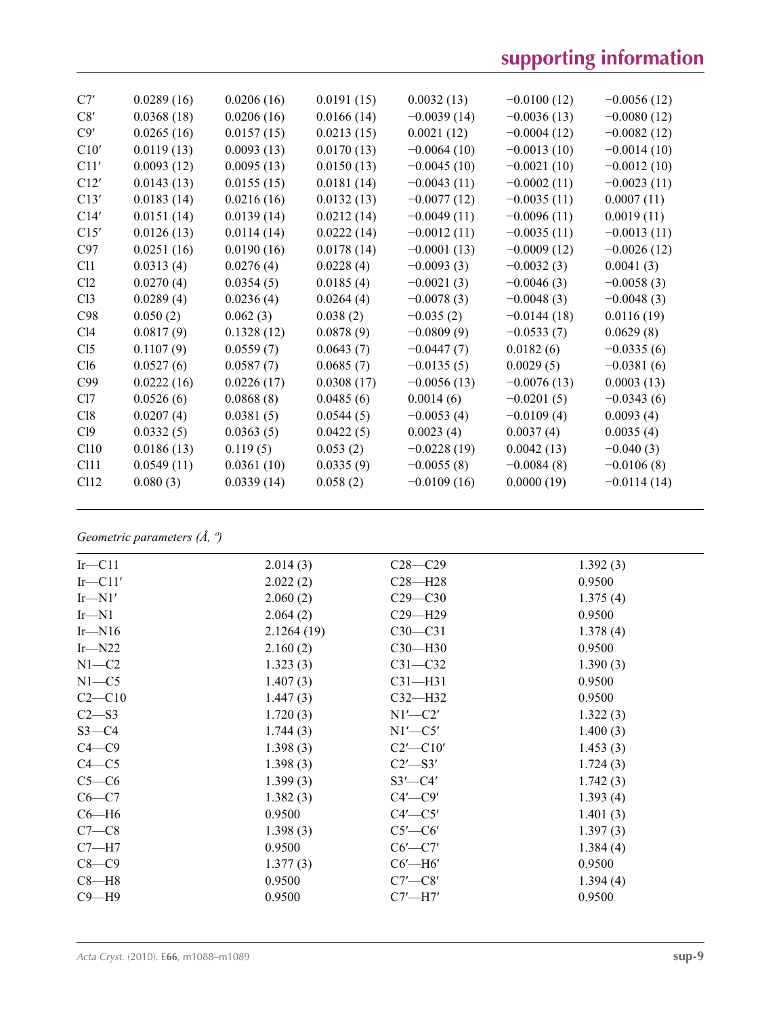| C7'              | 0.0289(16) | 0.0206(16) | 0.0191(15) | 0.0032(13)    | $-0.0100(12)$ | $-0.0056(12)$ |
|------------------|------------|------------|------------|---------------|---------------|---------------|
| C8'              | 0.0368(18) | 0.0206(16) | 0.0166(14) | $-0.0039(14)$ | $-0.0036(13)$ | $-0.0080(12)$ |
| C9'              | 0.0265(16) | 0.0157(15) | 0.0213(15) | 0.0021(12)    | $-0.0004(12)$ | $-0.0082(12)$ |
| C10'             | 0.0119(13) | 0.0093(13) | 0.0170(13) | $-0.0064(10)$ | $-0.0013(10)$ | $-0.0014(10)$ |
| C11'             | 0.0093(12) | 0.0095(13) | 0.0150(13) | $-0.0045(10)$ | $-0.0021(10)$ | $-0.0012(10)$ |
| C12'             | 0.0143(13) | 0.0155(15) | 0.0181(14) | $-0.0043(11)$ | $-0.0002(11)$ | $-0.0023(11)$ |
| C13'             | 0.0183(14) | 0.0216(16) | 0.0132(13) | $-0.0077(12)$ | $-0.0035(11)$ | 0.0007(11)    |
| C14'             | 0.0151(14) | 0.0139(14) | 0.0212(14) | $-0.0049(11)$ | $-0.0096(11)$ | 0.0019(11)    |
| C15'             | 0.0126(13) | 0.0114(14) | 0.0222(14) | $-0.0012(11)$ | $-0.0035(11)$ | $-0.0013(11)$ |
| C97              | 0.0251(16) | 0.0190(16) | 0.0178(14) | $-0.0001(13)$ | $-0.0009(12)$ | $-0.0026(12)$ |
| C11              | 0.0313(4)  | 0.0276(4)  | 0.0228(4)  | $-0.0093(3)$  | $-0.0032(3)$  | 0.0041(3)     |
| Cl2              | 0.0270(4)  | 0.0354(5)  | 0.0185(4)  | $-0.0021(3)$  | $-0.0046(3)$  | $-0.0058(3)$  |
| Cl <sub>3</sub>  | 0.0289(4)  | 0.0236(4)  | 0.0264(4)  | $-0.0078(3)$  | $-0.0048(3)$  | $-0.0048(3)$  |
| C98              | 0.050(2)   | 0.062(3)   | 0.038(2)   | $-0.035(2)$   | $-0.0144(18)$ | 0.0116(19)    |
| C14              | 0.0817(9)  | 0.1328(12) | 0.0878(9)  | $-0.0809(9)$  | $-0.0533(7)$  | 0.0629(8)     |
| Cl <sub>5</sub>  | 0.1107(9)  | 0.0559(7)  | 0.0643(7)  | $-0.0447(7)$  | 0.0182(6)     | $-0.0335(6)$  |
| Cl6              | 0.0527(6)  | 0.0587(7)  | 0.0685(7)  | $-0.0135(5)$  | 0.0029(5)     | $-0.0381(6)$  |
| C99              | 0.0222(16) | 0.0226(17) | 0.0308(17) | $-0.0056(13)$ | $-0.0076(13)$ | 0.0003(13)    |
| Cl7              | 0.0526(6)  | 0.0868(8)  | 0.0485(6)  | 0.0014(6)     | $-0.0201(5)$  | $-0.0343(6)$  |
| C18              | 0.0207(4)  | 0.0381(5)  | 0.0544(5)  | $-0.0053(4)$  | $-0.0109(4)$  | 0.0093(4)     |
| C19              | 0.0332(5)  | 0.0363(5)  | 0.0422(5)  | 0.0023(4)     | 0.0037(4)     | 0.0035(4)     |
| C110             | 0.0186(13) | 0.119(5)   | 0.053(2)   | $-0.0228(19)$ | 0.0042(13)    | $-0.040(3)$   |
| C <sub>111</sub> | 0.0549(11) | 0.0361(10) | 0.0335(9)  | $-0.0055(8)$  | $-0.0084(8)$  | $-0.0106(8)$  |
| C <sub>112</sub> | 0.080(3)   | 0.0339(14) | 0.058(2)   | $-0.0109(16)$ | 0.0000(19)    | $-0.0114(14)$ |
|                  |            |            |            |               |               |               |

*Geometric parameters (Å, º)*

| $Ir$ -C11    | 2.014(3)   | $C28 - C29$    | 1.392(3) |
|--------------|------------|----------------|----------|
| $Ir$ -C11'   | 2.022(2)   | $C28 - H28$    | 0.9500   |
| $Ir$ —N $1'$ | 2.060(2)   | $C29 - C30$    | 1.375(4) |
| $Ir$ -N1     | 2.064(2)   | $C29 - H29$    | 0.9500   |
| $Ir$ -N16    | 2.1264(19) | $C30-C31$      | 1.378(4) |
| $Ir$ —N22    | 2.160(2)   | $C30-H30$      | 0.9500   |
| $N1-C2$      | 1.323(3)   | $C31 - C32$    | 1.390(3) |
| $N1 - C5$    | 1.407(3)   | $C31 - H31$    | 0.9500   |
| $C2-C10$     | 1.447(3)   | $C32-H32$      | 0.9500   |
| $C2 - S3$    | 1.720(3)   | $N1'$ — $C2'$  | 1.322(3) |
| $S3 - C4$    | 1.744(3)   | $N1'$ —C5'     | 1.400(3) |
| $C4 - C9$    | 1.398(3)   | $C2'$ - $C10'$ | 1.453(3) |
| $C4 - C5$    | 1.398(3)   | $C2'$ —S3'     | 1.724(3) |
| $C5-C6$      | 1.399(3)   | $S3'$ - $C4'$  | 1.742(3) |
| $C6-C7$      | 1.382(3)   | $C4'$ — $C9'$  | 1.393(4) |
| $C6 - H6$    | 0.9500     | $C4'$ — $C5'$  | 1.401(3) |
| $C7-C8$      | 1.398(3)   | $C5'$ — $C6'$  | 1.397(3) |
| $C7 - H7$    | 0.9500     | $C6'$ — $C7'$  | 1.384(4) |
| $C8-C9$      | 1.377(3)   | $C6'$ —H $6'$  | 0.9500   |
| $C8 - H8$    | 0.9500     | $C7'$ — $C8'$  | 1.394(4) |
| $C9 - H9$    | 0.9500     | $C7'$ —H7'     | 0.9500   |
|              |            |                |          |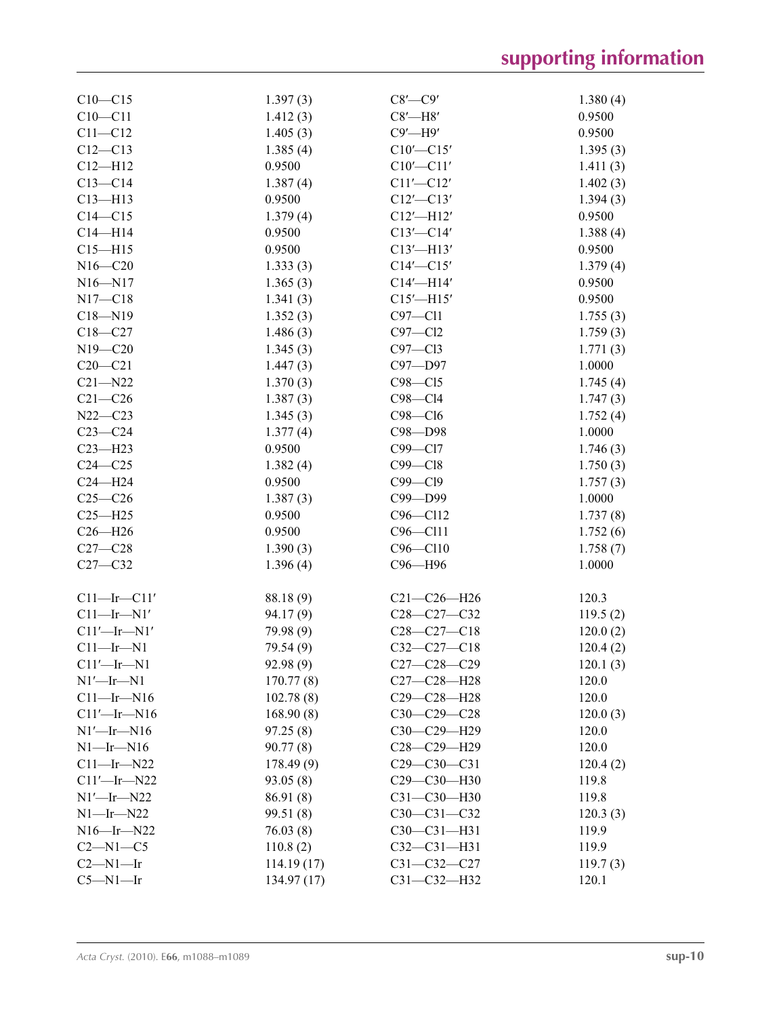# **supporting information**

| $C10 - C15$       | 1.397(3)    | $C8'$ — $C9'$     | 1.380(4) |
|-------------------|-------------|-------------------|----------|
| $C10 - C11$       | 1.412(3)    | $C8'$ -H $8'$     | 0.9500   |
| $C11 - C12$       | 1.405(3)    | $C9'$ —H $9'$     | 0.9500   |
| $C12 - C13$       | 1.385(4)    | $C10'$ - $C15'$   | 1.395(3) |
| $C12 - H12$       | 0.9500      | $C10'$ - $C11'$   | 1.411(3) |
| $C13 - C14$       |             | $C11'$ - $C12'$   |          |
| $C13 - H13$       | 1.387(4)    |                   | 1.402(3) |
|                   | 0.9500      | $C12'$ - $C13'$   | 1.394(3) |
| $C14 - C15$       | 1.379(4)    | $C12'$ -H12'      | 0.9500   |
| $C14 - H14$       | 0.9500      | $C13'$ - $C14'$   | 1.388(4) |
| $C15 - H15$       | 0.9500      | $C13'$ -H13'      | 0.9500   |
| $N16 - C20$       | 1.333(3)    | $C14'$ - $C15'$   | 1.379(4) |
| $N16 - N17$       | 1.365(3)    | $C14'$ -H14'      | 0.9500   |
| $N17 - C18$       | 1.341(3)    | $C15'$ -H15'      | 0.9500   |
| $C18 - N19$       | 1.352(3)    | $C97 - C11$       | 1.755(3) |
| $C18 - C27$       | 1.486(3)    | $C97 - C12$       | 1.759(3) |
| $N19 - C20$       | 1.345(3)    | $C97 - C13$       | 1.771(3) |
| $C20 - C21$       | 1.447(3)    | C97-D97           | 1.0000   |
| $C21 - N22$       | 1.370(3)    | $C98 - C15$       | 1.745(4) |
| $C21 - C26$       | 1.387(3)    | $C98 - C14$       | 1.747(3) |
| $N22 - C23$       | 1.345(3)    | $C98 - C16$       | 1.752(4) |
| $C23-C24$         | 1.377(4)    | C98-D98           | 1.0000   |
| $C23 - H23$       | 0.9500      | C99-Cl7           | 1.746(3) |
| $C24 - C25$       |             | $C99 - C18$       |          |
|                   | 1.382(4)    |                   | 1.750(3) |
| $C24 - H24$       | 0.9500      | C99-Cl9           | 1.757(3) |
| $C25-C26$         | 1.387(3)    | C99-D99           | 1.0000   |
| $C25 - H25$       | 0.9500      | C96-Cl12          | 1.737(8) |
| $C26 - H26$       | 0.9500      | C96-Cl11          | 1.752(6) |
| $C27-C28$         | 1.390(3)    | $C96 - C110$      | 1.758(7) |
| $C27-C32$         | 1.396(4)    | C96-H96           | 1.0000   |
|                   |             |                   |          |
| $Cl1$ -Ir-Cll'    | 88.18 (9)   | $C21 - C26 - H26$ | 120.3    |
| $Cl1$ -Ir-N1'     | 94.17(9)    | C28-C27-C32       | 119.5(2) |
| $Cl1'$ -Ir-N1'    | 79.98 (9)   | $C28-C27-C18$     | 120.0(2) |
| $C11$ —Ir—N1      | 79.54 (9)   | $C32-C27-C18$     | 120.4(2) |
| $C11'$ -Ir-N1     | 92.98 (9)   | $C27 - C28 - C29$ | 120.1(3) |
| $N1'$ -Ir-N1      | 170.77(8)   | $C27 - C28 - H28$ | 120.0    |
| $C11$ —Ir—N16     | 102.78(8)   | C29-C28-H28       | 120.0    |
| $Cl1'$ -Ir-N $16$ | 168.90(8)   | $C30-C29-C28$     | 120.0(3) |
| $N1'$ -Ir-N16     | 97.25(8)    | C30-C29-H29       | 120.0    |
|                   |             |                   | 120.0    |
| $N1$ —Ir—N $16$   | 90.77(8)    | $C28 - C29 - H29$ |          |
| $C11$ —Ir—N22     | 178.49(9)   | $C29 - C30 - C31$ | 120.4(2) |
| $C11'$ —Ir—N22    | 93.05(8)    | C29-C30-H30       | 119.8    |
| $N1'$ —Ir—N22     | 86.91 (8)   | $C31 - C30 - H30$ | 119.8    |
| $N1$ —Ir—N22      | 99.51 (8)   | $C30 - C31 - C32$ | 120.3(3) |
| $N16$ —Ir—N22     | 76.03(8)    | $C30 - C31 - H31$ | 119.9    |
| $C2-M1-C5$        | 110.8(2)    | $C32 - C31 - H31$ | 119.9    |
| $C2-M1-Ir$        | 114.19(17)  | $C31 - C32 - C27$ | 119.7(3) |
| $C5 - N1 - Ir$    | 134.97 (17) | $C31 - C32 - H32$ | 120.1    |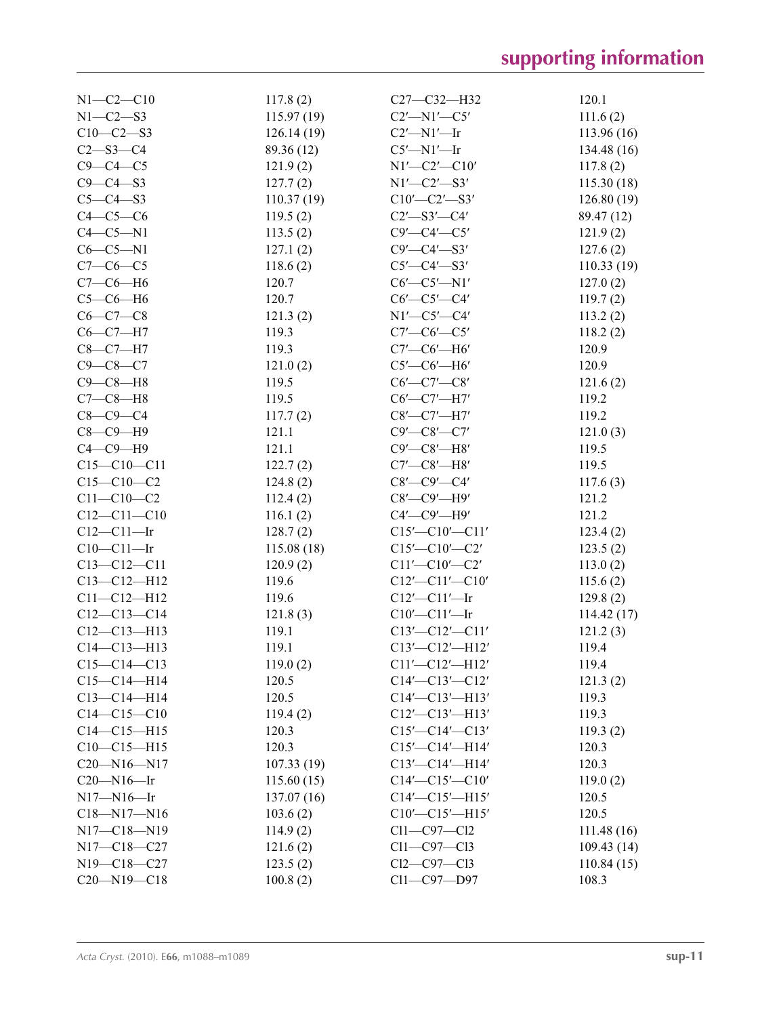| $N1-C2-C10$       | 117.8(2)   | $C27 - C32 - H32$                                    | 120.1       |
|-------------------|------------|------------------------------------------------------|-------------|
| $N1 - C2 - S3$    | 115.97(19) | $C2'$ -N1'- $C5'$                                    | 111.6(2)    |
| $C10-C2-S3$       | 126.14(19) | $C2'$ -N1'-Ir                                        | 113.96(16)  |
| $C2 - S3 - C4$    | 89.36 (12) | $C5'$ —N1'—Ir                                        | 134.48 (16) |
| $C9 - C4 - C5$    | 121.9(2)   | $N1'$ - $C2'$ - $C10'$                               | 117.8(2)    |
| $C9 - C4 - S3$    | 127.7(2)   | $N1'$ - $C2'$ - $S3'$                                | 115.30(18)  |
| $C5-C4-S3$        | 110.37(19) | $C10'$ - $C2'$ - $S3'$                               | 126.80(19)  |
| $C4-C5-C6$        | 119.5(2)   | $C2'$ —S3'—C4'                                       | 89.47 (12)  |
| $C4-C5-N1$        | 113.5(2)   | $C9'$ — $C4'$ — $C5'$                                | 121.9(2)    |
| $C6-C5-N1$        | 127.1(2)   | $C9'$ — $C4'$ — $S3'$                                | 127.6(2)    |
| $C7-C6-C5$        | 118.6(2)   | $C5'$ — $C4'$ — $S3'$                                | 110.33(19)  |
| $C7-C6-H6$        | 120.7      | $C6'$ — $C5'$ —N1'                                   | 127.0(2)    |
| $C5-C6-H6$        | 120.7      | $C6'$ — $C5'$ — $C4'$                                | 119.7(2)    |
| $C6 - C7 - C8$    | 121.3(2)   | $N1'$ - $C5'$ - $C4'$                                | 113.2(2)    |
| $C6-C7-H7$        | 119.3      | $C7'$ — $C6'$ — $C5'$                                | 118.2(2)    |
| $C8-C7-H7$        | 119.3      | $C7'$ — $C6'$ — $H6'$                                | 120.9       |
| $C9 - C8 - C7$    | 121.0(2)   | $C5'$ — $C6'$ — $H6'$                                | 120.9       |
| $C9 - C8 - H8$    | 119.5      | $C6'$ — $C7'$ — $C8'$                                | 121.6(2)    |
| $C7-C8-H8$        | 119.5      | $C6'$ - $C7'$ - $H7'$                                | 119.2       |
| $C8 - C9 - C4$    | 117.7(2)   | $C8'$ — $C7'$ — $H7'$                                | 119.2       |
| $C8-C9-H9$        | 121.1      | $C9'$ — $C8'$ — $C7'$                                | 121.0(3)    |
| $C4-C9-H9$        | 121.1      | $C9'$ - $C8'$ - $H8'$                                | 119.5       |
| $C15 - C10 - C11$ | 122.7(2)   | $C7'$ — $C8'$ — $H8'$                                | 119.5       |
| $C15-C10-C2$      | 124.8(2)   | $C8'$ — $C9'$ — $C4'$                                | 117.6(3)    |
| $C11 - C10 - C2$  | 112.4(2)   | $C8'$ - $C9'$ - $H9'$                                | 121.2       |
| $C12 - C11 - C10$ | 116.1(2)   | $C4'$ — $C9'$ — $H9'$                                | 121.2       |
| $C12-C11$ -Ir     | 128.7(2)   | $C15'$ - $C10'$ - $C11'$                             | 123.4(2)    |
| $C10 - C11 - Ir$  | 115.08(18) | $C15'$ — $C10'$ — $C2'$                              | 123.5(2)    |
| $C13 - C12 - C11$ | 120.9(2)   | $C11'$ - $C10'$ - $C2'$                              | 113.0(2)    |
| $C13 - C12 - H12$ | 119.6      | $C12'$ - $C11'$ - $C10'$                             | 115.6(2)    |
| $C11 - C12 - H12$ | 119.6      | $C12'$ - $C11'$ - Ir                                 | 129.8(2)    |
| $C12-C13-C14$     | 121.8(3)   | $C10'$ - $C11'$ - Ir                                 | 114.42(17)  |
| $C12-C13-H13$     | 119.1      | $C13'$ - $C12'$ - $C11'$                             | 121.2(3)    |
| $C14 - C13 - H13$ | 119.1      | $C13'$ - $C12'$ - $H12'$                             | 119.4       |
| $C15-C14-C13$     | 119.0(2)   | $Cl1'$ - $Cl2'$ - $H12'$                             | 119.4       |
| $C15-C14-H14$     | 120.5      | $C14'$ - $C13'$ - $C12'$                             | 121.3(2)    |
| $C13 - C14 - H14$ | 120.5      | $C14'$ - $C13'$ - $H13'$                             | 119.3       |
| $C14 - C15 - C10$ | 119.4(2)   | $C12'$ - $C13'$ - $H13'$                             | 119.3       |
| $C14 - C15 - H15$ | 120.3      | $C15'$ - $C14'$ - $C13'$                             | 119.3(2)    |
| $C10-C15-H15$     | 120.3      | $C15'$ - $C14'$ - $H14'$                             | 120.3       |
| $C20 - N16 - N17$ | 107.33(19) |                                                      | 120.3       |
| $C20 - N16 - Ir$  | 115.60(15) | $C13'$ - $C14'$ - $H14'$<br>$C14'$ - $C15'$ - $C10'$ | 119.0(2)    |
| $N17 - N16 - Ir$  | 137.07(16) | $C14'$ - $C15'$ - $H15'$                             | 120.5       |
| C18-N17-N16       |            | $C10'$ - $C15'$ - $H15'$                             | 120.5       |
| N17-C18-N19       | 103.6(2)   | $Cl1-C97-C12$                                        |             |
| N17-C18-C27       | 114.9(2)   | $Cl1-C97-C13$                                        | 111.48(16)  |
|                   | 121.6(2)   |                                                      | 109.43(14)  |
| N19-C18-C27       | 123.5(2)   | $Cl2-C97-C13$                                        | 110.84(15)  |
| $C20 - N19 - C18$ | 100.8(2)   | Cl1-C97-D97                                          | 108.3       |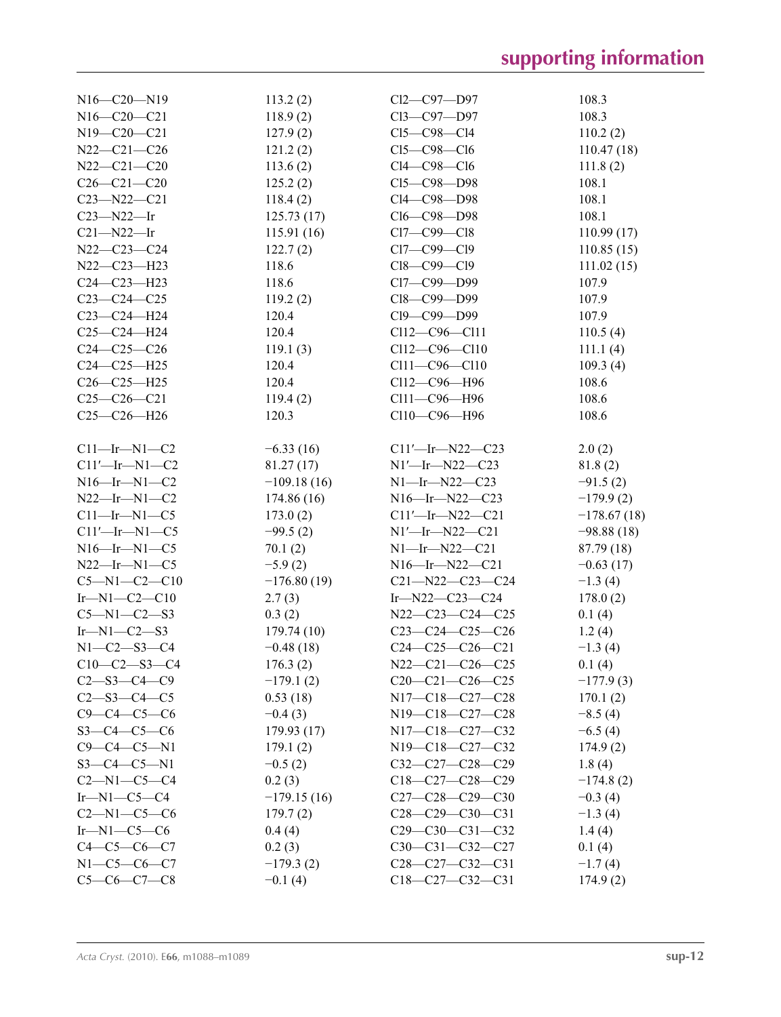| $N16 - C20 - N19$    | 113.2(2)      | Cl2-C97-D97             | 108.3         |
|----------------------|---------------|-------------------------|---------------|
| N16-C20-C21          | 118.9(2)      | Cl3-C97-D97             | 108.3         |
| N19-C20-C21          | 127.9(2)      | $Cl5-C98-C14$           | 110.2(2)      |
| N22-C21-C26          |               | $Cl5-C98-C16$           |               |
|                      | 121.2(2)      |                         | 110.47(18)    |
| N22-C21-C20          | 113.6(2)      | $Cl4-C98-C16$           | 111.8(2)      |
| $C26 - C21 - C20$    | 125.2(2)      | Cl5-C98-D98             | 108.1         |
| $C23 - N22 - C21$    | 118.4(2)      | Cl4-C98-D98             | 108.1         |
| $C23 - N22 - Ir$     | 125.73(17)    | Cl6-C98-D98             | 108.1         |
| $C21 - N22 - Ir$     | 115.91(16)    | $Cl7-C99-C18$           | 110.99(17)    |
| N22-C23-C24          | 122.7(2)      | Cl7-C99-Cl9             | 110.85(15)    |
| N22-C23-H23          | 118.6         | Cl8-C99-Cl9             | 111.02(15)    |
| $C24 - C23 - H23$    | 118.6         | Cl7-C99-D99             | 107.9         |
| $C23-C24-C25$        | 119.2(2)      | Cl8-C99-D99             | 107.9         |
| C23-C24-H24          | 120.4         | Cl9-C99-D99             | 107.9         |
| $C25-C24-H24$        | 120.4         | Cl12-C96-Cl11           | 110.5(4)      |
| $C24-C25-C26$        | 119.1(3)      | $C112 - C96 - C110$     | 111.1(4)      |
| $C24 - C25 - H25$    | 120.4         | Cl11-C96-Cl10           | 109.3(4)      |
| $C26 - C25 - H25$    | 120.4         | Cl12-C96-H96            | 108.6         |
| $C25-C26-C21$        | 119.4(2)      | Cl11-C96-H96            | 108.6         |
| $C25-C26-H26$        | 120.3         | Cl10-C96-H96            | 108.6         |
|                      |               |                         |               |
| $C11$ -Ir-N1-C2      | $-6.33(16)$   | $C11'$ -Ir-N22-C23      | 2.0(2)        |
| $C11'$ -Ir-N1-C2     | 81.27(17)     | $N1'$ -Ir- $N22$ -C23   | 81.8(2)       |
| $N16$ —Ir— $N1$ —C2  | $-109.18(16)$ | $N1$ —Ir—N22—C23        | $-91.5(2)$    |
| $N22$ -Ir-N1-C2      |               | $N16$ -Ir- $N22$ -C23   |               |
|                      | 174.86(16)    |                         | $-179.9(2)$   |
| $C11$ -Ir-N1- $C5$   | 173.0(2)      | $Cl1'$ -Ir-N22-C21      | $-178.67(18)$ |
| $C11'$ -Ir-N1-C5     | $-99.5(2)$    | $N1'$ -Ir- $N22$ -C21   | $-98.88(18)$  |
| $N16$ —Ir—N1—C5      | 70.1(2)       | $N1$ —Ir—N22—C21        | 87.79 (18)    |
| $N22$ —Ir—N1—C5      | $-5.9(2)$     | $N16$ —Ir— $N22$ —C21   | $-0.63(17)$   |
| $C5 - N1 - C2 - C10$ | $-176.80(19)$ | $C21 - N22 - C23 - C24$ | $-1.3(4)$     |
| $Ir-M1-C2-C10$       | 2.7(3)        | Ir- $N22-C23-C24$       | 178.0(2)      |
| $C5 - N1 - C2 - S3$  | 0.3(2)        | N22-C23-C24-C25         | 0.1(4)        |
| $Ir-M1-C2-S3$        | 179.74(10)    | $C23-C24-C25-C26$       | 1.2(4)        |
| $N1 - C2 - S3 - C4$  | $-0.48(18)$   | $C24-C25-C26-C21$       | $-1.3(4)$     |
| $C10-C2-S3-C4$       | 176.3(2)      | $N22-C21-C26-C25$       | 0.1(4)        |
| $C2 - S3 - C4 - C9$  | $-179.1(2)$   | $C20-C21-C26-C25$       | $-177.9(3)$   |
| $C2 - S3 - C4 - C5$  | 0.53(18)      | N17-C18-C27-C28         | 170.1(2)      |
| $C9 - C4 - C5 - C6$  | $-0.4(3)$     | N19-C18-C27-C28         | $-8.5(4)$     |
| $S3-C4-C5-C6$        | 179.93(17)    | N17-C18-C27-C32         | $-6.5(4)$     |
| $C9 - C4 - C5 - N1$  | 179.1(2)      | N19-C18-C27-C32         | 174.9(2)      |
| $S3 - C4 - C5 - N1$  | $-0.5(2)$     | $C32-C27-C28-C29$       | 1.8(4)        |
| $C2 - N1 - C5 - C4$  | 0.2(3)        | $C18-C27-C28-C29$       | $-174.8(2)$   |
| $Ir-M1-C5-C4$        | $-179.15(16)$ | C27-C28-C29-C30         | $-0.3(4)$     |
| $C2-M1-C5-C6$        | 179.7(2)      | $C28-C29-C30-C31$       | $-1.3(4)$     |
| $Ir-M1-C5-C6$        | 0.4(4)        | $C29 - C30 - C31 - C32$ |               |
| $C4 - C5 - C6 - C7$  |               | $C30-C31-C32-C27$       | 1.4(4)        |
|                      | 0.2(3)        |                         | 0.1(4)        |
| $N1 - C5 - C6 - C7$  | $-179.3(2)$   | $C28-C27-C32-C31$       | $-1.7(4)$     |
| $C5-C6-C7-C8$        | $-0.1(4)$     | $C18-C27-C32-C31$       | 174.9(2)      |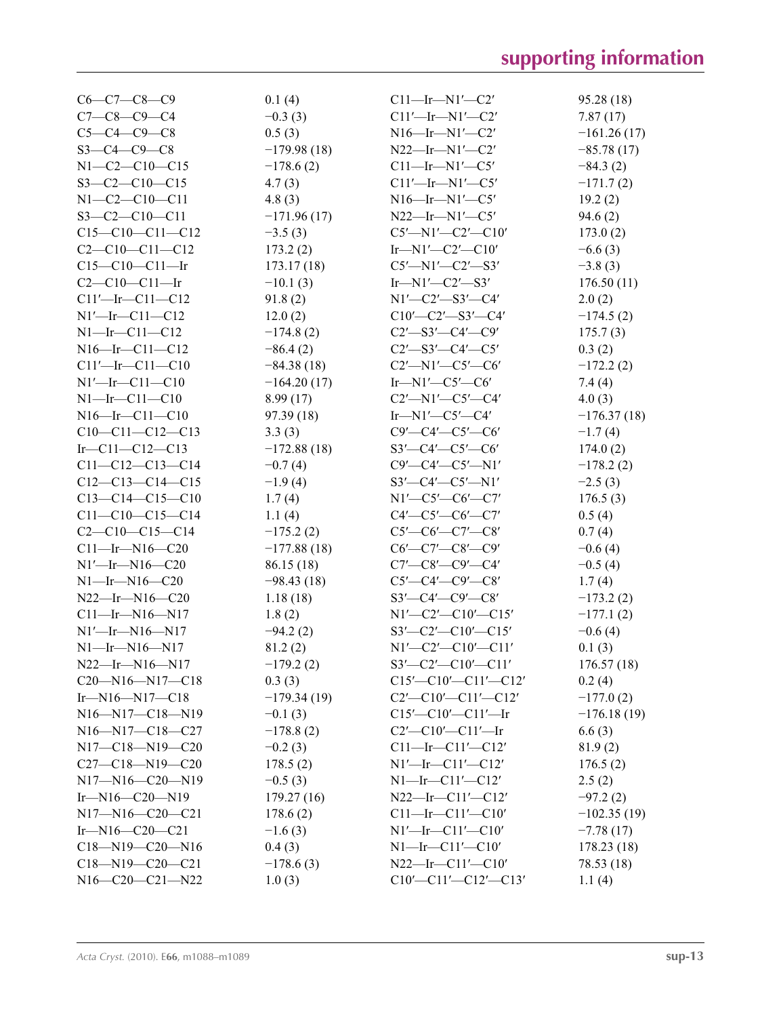| $C6-C7-C8-C9$                                                      | 0.1(4)        | $C11$ —Ir—N1'—C2'                 | 95.28 (18)    |
|--------------------------------------------------------------------|---------------|-----------------------------------|---------------|
| $C7 - C8 - C9 - C4$                                                | $-0.3(3)$     | $Cl1'$ -Ir-N $1'$ -C2'            | 7.87(17)      |
| $C5 - C4 - C9 - C8$                                                | 0.5(3)        | $N16$ —Ir— $N1'$ —C2'             | $-161.26(17)$ |
| $S3-C4-C9-C8$                                                      | $-179.98(18)$ | $N22$ —Ir—N1'—C2'                 | $-85.78(17)$  |
| $N1-C2-C10-C15$                                                    | $-178.6(2)$   | $C11$ —Ir—N1'—C5'                 | $-84.3(2)$    |
| $S3-C2-C10-C15$                                                    | 4.7(3)        | $Cl1'$ —Ir—N $1'$ —C5'            | $-171.7(2)$   |
| $N1-C2-C10-C11$                                                    | 4.8(3)        | $N16$ —Ir—N $1'$ —C5'             | 19.2(2)       |
| $S3-C2-C10-C11$                                                    | $-171.96(17)$ | $N22$ —Ir—N1'—C5'                 | 94.6(2)       |
| $C15-C10-C11-C12$                                                  | $-3.5(3)$     | $C5'$ —N1'—C2'—C10'               | 173.0(2)      |
| $C2 - C10 - C11 - C12$                                             | 173.2(2)      | $Ir-M1'$ -C2'-C10'                | $-6.6(3)$     |
| $C15-C10-C11$ —Ir                                                  | 173.17 (18)   | $C5'$ —N1′—C2′—S3′                | $-3.8(3)$     |
| $C2-C10-C11$ —Ir                                                   | $-10.1(3)$    | Ir—N1'—C2'—S3'                    | 176.50(11)    |
| $Cl1'$ -Ir-Cl1-Cl2                                                 | 91.8(2)       | $N1'$ - $C2'$ - $S3'$ - $C4'$     | 2.0(2)        |
| $N1'$ —Ir—C11—C12                                                  | 12.0(2)       | $C10'$ — $C2'$ — $S3'$ — $C4'$    | $-174.5(2)$   |
| $N1$ —Ir—C11—C12                                                   | $-174.8(2)$   | $C2'$ —S3'—C4'—C9'                | 175.7(3)      |
| $N16$ -Ir-C11-C12                                                  | $-86.4(2)$    | $C2'$ —S3'—C4'—C5'                | 0.3(2)        |
| $Cl1'$ -Ir-Cl1-Cl0                                                 | $-84.38(18)$  | $C2'$ —N1′—C5′—C6′                | $-172.2(2)$   |
| $N1'$ -Ir-C11-C10                                                  | $-164.20(17)$ | $Ir-M1'$ - $C5'$ - $C6'$          | 7.4(4)        |
| $N1$ -Ir-C11-C10                                                   | 8.99(17)      | $C2'$ —N1′—C5′—C4′                |               |
| $N16$ -Ir-C11-C10                                                  |               |                                   | 4.0(3)        |
|                                                                    | 97.39 (18)    | $Ir$ -N1'-C5'-C4'                 | $-176.37(18)$ |
| $C10-C11-C12-C13$                                                  | 3.3(3)        | $C9'$ — $C4'$ — $C5'$ — $C6'$     | $-1.7(4)$     |
| $Ir$ -C11-C12-C13                                                  | $-172.88(18)$ | $S3'$ —C4'—C5'—C6'                | 174.0(2)      |
| $C11-C12-C13-C14$                                                  | $-0.7(4)$     | $C9'$ — $C4'$ — $C5'$ — $N1'$     | $-178.2(2)$   |
| $C12-C13-C14-C15$                                                  | $-1.9(4)$     | $S3'$ —C4'—C5'—N1'                | $-2.5(3)$     |
| $C13-C14-C15-C10$                                                  | 1.7(4)        | $N1'$ - $C5'$ - $C6'$ - $C7'$     | 176.5(3)      |
| $C11-C10-C15-C14$                                                  | 1.1(4)        | $C4'$ — $C5'$ — $C6'$ — $C7'$     | 0.5(4)        |
| $C2-C10-C15-C14$                                                   | $-175.2(2)$   | $C5'$ — $C6'$ — $C7'$ — $C8'$     | 0.7(4)        |
| $C11$ —Ir—N16—C20                                                  | $-177.88(18)$ | $C6'$ — $C7'$ — $C8'$ — $C9'$     | $-0.6(4)$     |
| $N1'$ —Ir—N16—C20                                                  | 86.15 (18)    | $C7'$ — $C8'$ — $C9'$ — $C4'$     | $-0.5(4)$     |
| $N1$ —Ir—N $16$ —C $20$                                            | $-98.43(18)$  | $C5'$ — $C4'$ — $C9'$ — $C8'$     | 1.7(4)        |
| $N22$ —Ir—N16—C20                                                  | 1.18(18)      | $S3'$ —C4'—C9'—C8'                | $-173.2(2)$   |
| $C11$ —Ir—N16—N17                                                  | 1.8(2)        | $N1'$ - $C2'$ - $C10'$ - $C15'$   | $-177.1(2)$   |
| $N1'$ —Ir—N $16$ —N $17$                                           | $-94.2(2)$    | $S3'$ - $C2'$ - $C10'$ - $C15'$   | $-0.6(4)$     |
| $N1$ —Ir—N16—N17                                                   | 81.2(2)       | $N1'$ - $C2'$ - $C10'$ - $C11'$   | 0.1(3)        |
| $N22$ —Ir—N16—N17                                                  | $-179.2(2)$   | $S3'$ - $C2'$ - $C10'$ - $C11'$   | 176.57(18)    |
| $C20 - N16 - N17 - C18$                                            | 0.3(3)        | $C15'$ - $C10'$ - $C11'$ - $C12'$ | 0.2(4)        |
| $Ir-M16-M17-C18$                                                   | $-179.34(19)$ | $C2'$ - $C10'$ - $C11'$ - $C12'$  | $-177.0(2)$   |
| N16-N17-C18-N19                                                    | $-0.1(3)$     | $C15'$ - $C10'$ - $C11'$ - Ir     | $-176.18(19)$ |
| N <sub>16</sub> -N <sub>17</sub> -C <sub>18</sub> -C <sub>27</sub> | $-178.8(2)$   | $C2'$ — $C10'$ — $C11'$ —Ir       | 6.6(3)        |
| N17-C18-N19-C20                                                    | $-0.2(3)$     | $Cl1$ -Ir-C11'-C12'               | 81.9(2)       |
| $C27-C18-N19-C20$                                                  | 178.5(2)      | $N1'$ —Ir—C11'—C12'               | 176.5(2)      |
| $N17 - N16 - C20 - N19$                                            | $-0.5(3)$     | $N1$ —Ir—C11'—C12'                | 2.5(2)        |
| Ir—N16—C20—N19                                                     | 179.27(16)    | $N22$ —Ir—C11'—C12'               | $-97.2(2)$    |
| $N17 - N16 - C20 - C21$                                            | 178.6(2)      | $Cl1$ -Ir-C $11'$ -C $10'$        | $-102.35(19)$ |
| $Ir$ -N16- $C20$ - $C21$                                           | $-1.6(3)$     | $N1'$ -Ir-C11'-C10'               | $-7.78(17)$   |
| $C18 - N19 - C20 - N16$                                            | 0.4(3)        | $N1$ —Ir—C11'—C10'                | 178.23 (18)   |
| $C18 - N19 - C20 - C21$                                            | $-178.6(3)$   | $N22$ —Ir—C11'—C10'               | 78.53 (18)    |
| $N16-C20-C21-N22$                                                  | 1.0(3)        | $C10'$ - $C11'$ - $C12'$ - $C13'$ | 1.1(4)        |